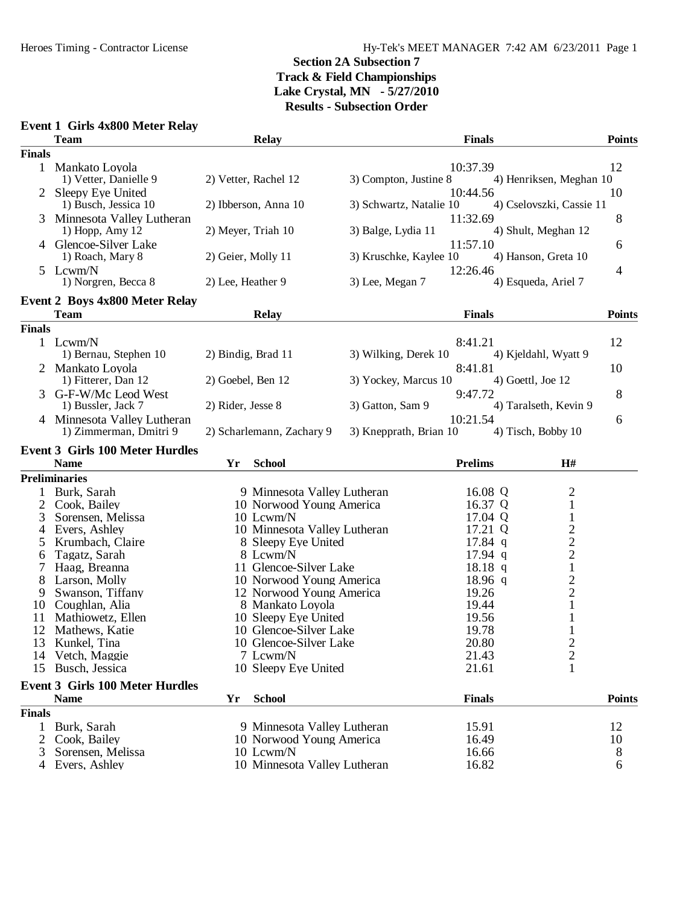#### **Event 1 Girls 4x800 Meter Relay Team Relay Finals Points Finals** 1 Mankato Loyola 10:37.39 12<br>1) Vetter, Danielle 9 2) Vetter, Rachel 12 3) Compton, Justine 8 4) Henriksen, Meghan 10 4) Henriksen, Meghan 10 2 Sleepy Eye United 10:44.56 10<br>10:44.56 10<br>2) Ibberson, Anna 10 3) Schwartz, Natalie 10 4) Cselovszki, Cassie 11 4) Cselovszki, Cassie 11 3 Minnesota Valley Lutheran 11:32.69 8<br>1) Hopp, Amy 12 2) Meyer, Triah 10 3) Balge, Lydia 11 4) Shult, Meghan 12 4) Shult, Meghan 12 4 Glencoe-Silver Lake 11:57.10 6<br>1) Roach, Mary 8 2) Geier, Molly 11 3) Kruschke, Kaylee 10 4) Hanson, Greta 10 3) Kruschke, Kaylee 10 5 Lcwm/N 12:26.46 4 1) Norgren, Becca 8 2) Lee, Heather 9 3) Lee, Megan 7 4) Esqueda, Ariel 7 **Event 2 Boys 4x800 Meter Relay Team Relay Finals Points Finals** 1 Lcwm/N 8:41.21 12 1) Bernau, Stephen 10 2) Bindig, Brad 11 3) Wilking, Derek 10 4) Kjeldahl, Wyatt 9 2 Mankato Loyola 8:41.81 10<br>
10 1) Fitterer. Dan 12 2) Goebel. Ben 12 3) Yockey. Marcus 10 4) Goettl. Joe 12 3) Yockey, Marcus 10 3 G-F-W/Mc Leod West <br>
1) Bussler, Jack 7 2) Rider, Jesse 8 3) Gatton, Sam 9 9:47.72 4) Taralseth, Kevin 9 2) Rider, Jesse 8 3) Gatton, Sam 9 4) Taralseth, Kevin 9 4 Minnesota Valley Lutheran 10:21.54 6<br>1) Zimmerman, Dmitri 9 2) Scharlemann, Zachary 9 3) Knepprath, Brian 10 4) Tisch, Bobby 10 2) Scharlemann, Zachary 9 **Event 3 Girls 100 Meter Hurdles Name Yr School Prelims H# Preliminaries** 1 Burk, Sarah 9 Minnesota Valley Lutheran 16.08 Q 2 2 Cook, Bailey 10 Norwood Young America 16.37 Q 1<br>3 Sorensen, Melissa 10 10 1 Lowm/N 17.04 Q 1 3 Sorensen, Melissa 10 Lcwm/N 17.04 Q 1<br>4 Evers, Ashley 10 Minnesota Valley Lutheran 17.21 Q 2 4 10 Minnesota Valley Lutheran 17.21 Q 2<br>
8 Sleepy Eve United 17.84 q 2 5 Krumbach, Claire 8 Sleepy Eye United 17.84 q 2<br>6 Tagatz, Sarah 8 Lowm/N 2 6 Tagatz, Sarah 8 Lcwm/N 17.94 q 2 7 Haag, Breanna 11 Glencoe-Silver Lake 18.18 q 1<br>
8 Larson, Molly 10 Norwood Young America 18.96 q 2 8 Larson, Molly 10 Norwood Young America 18.96 q 2<br>
9 Swanson, Tiffany 12 Norwood Young America 19.26 2 Swanson, Tiffany 12 Norwood Young America 19.26 2<br>Coughlan, Alia 8 Mankato Loyola 19.44 1 10 Coughlan, Alia 18 Mankato Loyola 19.44 1<br>11 Mathiowetz, Ellen 10 Sleepy Eve United 19.56 1 11 Mathiowetz, Ellen 10 Sleepy Eye United 19.56 1<br>12 Mathews. Katie 10 Glencoe-Silver Lake 19.78 1 12 Mathews, Katie 10 Glencoe-Silver Lake 19.78 1<br>13 Kunkel, Tina 10 Glencoe-Silver Lake 20.80 2 13 Kunkel, Tina 10 Glencoe-Silver Lake 20.80 2<br>14 Vetch, Maggie 7 Lowm/N 21.43 2 14 Vetch, Maggie 21.43 2<br>15 Busch, Jessica 2010 10 Sleepy Eve United 21.61 2<br>16 21.61 2 10 Sleepy Eye United **Event 3 Girls 100 Meter Hurdles Name Yr School Finals Points Finals** 1 Burk, Sarah 9 Minnesota Valley Lutheran 15.91 12 2 Cook, Bailey 10 Norwood Young America 16.49 10<br>3 Sorensen, Melissa 10 10 Lcwm/N 16.66 16.66 16.19 Sorensen, Melissa 4 Evers, Ashley 10 Minnesota Valley Lutheran 16.82 6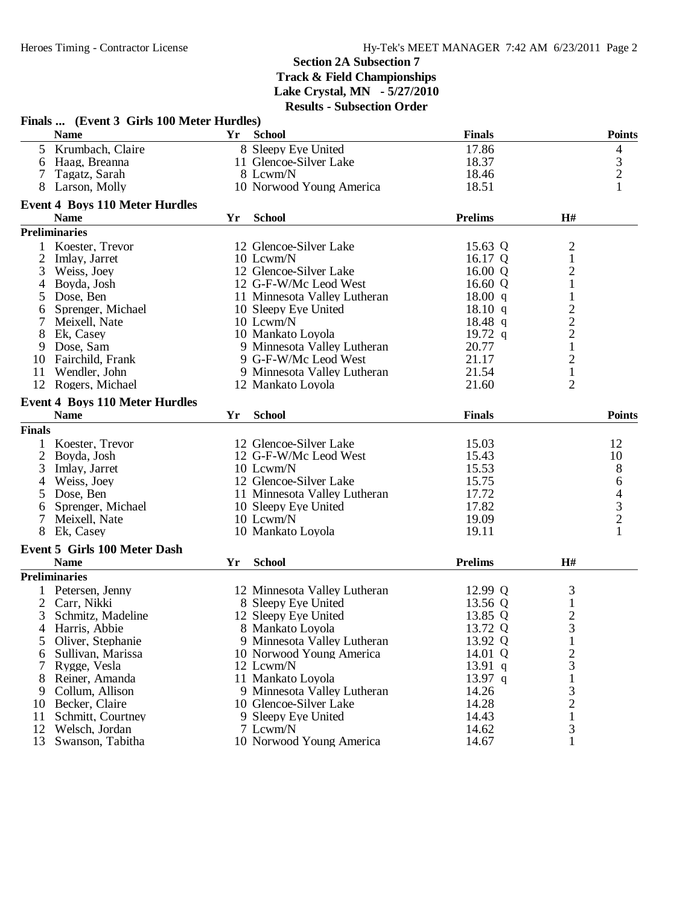|                | Finals  (Event 3 Girls 100 Meter Hurdles) |           |                              |                   |                |                                            |
|----------------|-------------------------------------------|-----------|------------------------------|-------------------|----------------|--------------------------------------------|
|                | <b>Name</b>                               | <b>Yr</b> | <b>School</b>                | <b>Finals</b>     |                | <b>Points</b>                              |
|                | 5 Krumbach, Claire                        |           | 8 Sleepy Eye United          | 17.86             |                | $\overline{4}$                             |
|                | 6 Haag, Breanna                           |           | 11 Glencoe-Silver Lake       | 18.37             |                | $\begin{array}{c} 3 \\ 2 \\ 1 \end{array}$ |
| 7              | Tagatz, Sarah                             |           | 8 Lcwm/N                     | 18.46             |                |                                            |
|                | 8 Larson, Molly                           |           | 10 Norwood Young America     | 18.51             |                |                                            |
|                | <b>Event 4 Boys 110 Meter Hurdles</b>     |           |                              |                   |                |                                            |
|                | <b>Name</b>                               | Yr        | <b>School</b>                | <b>Prelims</b>    | H#             |                                            |
|                | <b>Preliminaries</b>                      |           |                              |                   |                |                                            |
|                | Koester, Trevor                           |           | 12 Glencoe-Silver Lake       | 15.63 Q           | $\overline{c}$ |                                            |
| $\overline{c}$ | Imlay, Jarret                             |           | 10 Lcwm/N                    | 16.17 Q           | $\,1$          |                                            |
| 3              | Weiss, Joey                               |           | 12 Glencoe-Silver Lake       | 16.00 Q           | $\overline{c}$ |                                            |
| 4              | Boyda, Josh                               |           | 12 G-F-W/Mc Leod West        | 16.60 $Q$         | $\mathbf{1}$   |                                            |
| 5              | Dose, Ben                                 |           | 11 Minnesota Valley Lutheran | $18.00 \text{ q}$ | $\mathbf{1}$   |                                            |
| 6              | Sprenger, Michael                         |           | 10 Sleepy Eye United         | 18.10 q           | $\mathbf{2}$   |                                            |
| $\tau$         | Meixell, Nate                             |           | 10 Lcwm/N                    | $18.48$ q         | $\overline{c}$ |                                            |
| 8              | Ek, Casey                                 |           | 10 Mankato Loyola            | 19.72 $q$         | $\overline{c}$ |                                            |
| 9              | Dose, Sam                                 |           | 9 Minnesota Valley Lutheran  | 20.77             | $\mathbf{1}$   |                                            |
| 10             | Fairchild, Frank                          |           | 9 G-F-W/Mc Leod West         | 21.17             | $\mathbf{2}$   |                                            |
| 11             | Wendler, John                             |           | 9 Minnesota Valley Lutheran  | 21.54             | $\mathbf{1}$   |                                            |
| 12             | Rogers, Michael                           |           | 12 Mankato Loyola            | 21.60             | $\overline{2}$ |                                            |
|                | <b>Event 4 Boys 110 Meter Hurdles</b>     |           |                              |                   |                |                                            |
|                | <b>Name</b>                               | Yr        | <b>School</b>                | <b>Finals</b>     |                | <b>Points</b>                              |
| <b>Finals</b>  |                                           |           |                              |                   |                |                                            |
| 1              | Koester, Trevor                           |           | 12 Glencoe-Silver Lake       | 15.03             |                | 12                                         |
|                | 2 Boyda, Josh                             |           | 12 G-F-W/Mc Leod West        | 15.43             |                | 10                                         |
| 3              | Imlay, Jarret                             |           | 10 Lcwm/N                    | 15.53             |                | 8                                          |
| 4              | Weiss, Joey                               |           | 12 Glencoe-Silver Lake       | 15.75             |                | 6                                          |
| 5              | Dose, Ben                                 |           | 11 Minnesota Valley Lutheran | 17.72             |                | $\overline{\mathcal{A}}$                   |
| 6              | Sprenger, Michael                         |           | 10 Sleepy Eye United         | 17.82             |                | $\mathfrak{Z}$                             |
| 7              | Meixell, Nate                             |           | 10 Lcwm/N                    | 19.09             |                | $\overline{c}$                             |
|                | 8 Ek, Casey                               |           | 10 Mankato Loyola            | 19.11             |                |                                            |
|                | <b>Event 5 Girls 100 Meter Dash</b>       |           |                              |                   |                |                                            |
|                | <b>Name</b>                               | Yr        | <b>School</b>                | <b>Prelims</b>    | H#             |                                            |
|                | <b>Preliminaries</b>                      |           |                              |                   |                |                                            |
|                | 1 Petersen, Jenny                         |           | 12 Minnesota Valley Lutheran | 12.99 Q           | 3              |                                            |
|                | 2 Carr, Nikki                             |           | 8 Sleepy Eye United          | 13.56 Q           | $\mathbf 1$    |                                            |
| 3              | Schmitz, Madeline                         |           | 12 Sleepy Eye United         | 13.85 Q           | $\mathbf{2}$   |                                            |
|                | 4 Harris, Abbie                           |           | 8 Mankato Loyola             | 13.72 Q           | 3              |                                            |
| 5              | Oliver, Stephanie                         |           | 9 Minnesota Valley Lutheran  | 13.92 Q           | 1              |                                            |
| 6              | Sullivan, Marissa                         |           | 10 Norwood Young America     | 14.01 Q           | 2              |                                            |
|                | Rygge, Vesla                              |           | 12 Lcwm/N                    | 13.91 $q$         | 3              |                                            |
| 8              | Reiner, Amanda                            |           | 11 Mankato Loyola            | $13.97$ q         |                |                                            |
| 9              | Collum, Allison                           |           | 9 Minnesota Valley Lutheran  | 14.26             | 3              |                                            |
| 10             | Becker, Claire                            |           | 10 Glencoe-Silver Lake       | 14.28             | 2              |                                            |
| 11             | Schmitt, Courtney                         |           | 9 Sleepy Eye United          | 14.43             |                |                                            |
| 12             | Welsch, Jordan                            |           | 7 Lcwm/N                     | 14.62             | 3              |                                            |
| 13             | Swanson, Tabitha                          |           | 10 Norwood Young America     | 14.67             | 1              |                                            |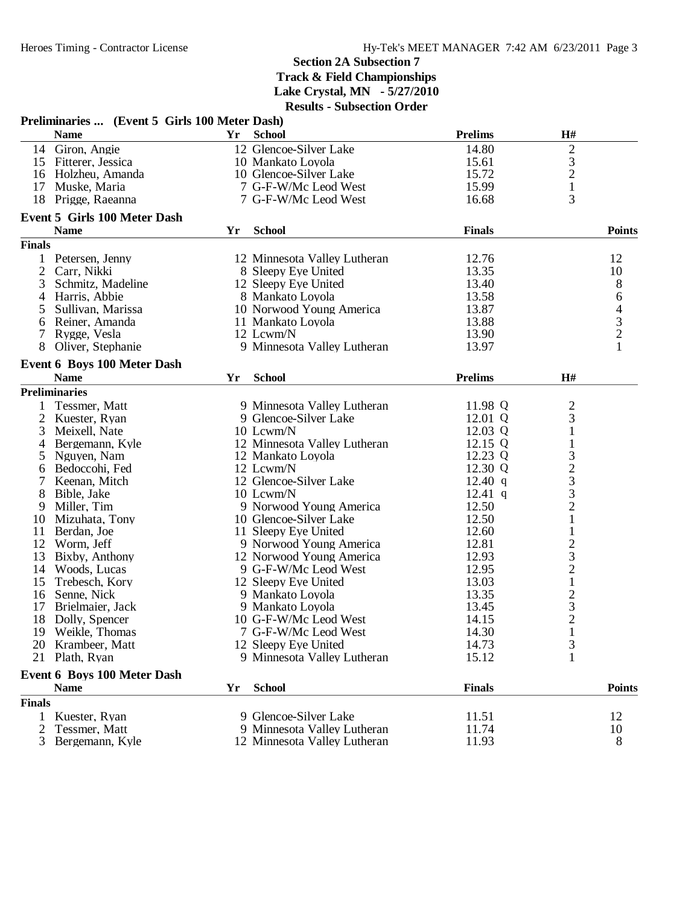|                    | Preliminaries  (Event 5 Girls 100 Meter Dash) |    |                              |                |                                                 |                |
|--------------------|-----------------------------------------------|----|------------------------------|----------------|-------------------------------------------------|----------------|
|                    | <b>Name</b>                                   | Yr | <b>School</b>                | <b>Prelims</b> | H#                                              |                |
|                    | 14 Giron, Angie                               |    | 12 Glencoe-Silver Lake       | 14.80          |                                                 |                |
| 15                 | Fitterer, Jessica                             |    | 10 Mankato Loyola            | 15.61          | $\frac{2}{3}$                                   |                |
|                    | 16 Holzheu, Amanda                            |    | 10 Glencoe-Silver Lake       | 15.72          |                                                 |                |
|                    | 17 Muske, Maria                               |    | 7 G-F-W/Mc Leod West         | 15.99          | $\mathbf 1$                                     |                |
|                    | 18 Prigge, Raeanna                            |    | 7 G-F-W/Mc Leod West         | 16.68          | 3                                               |                |
|                    | <b>Event 5 Girls 100 Meter Dash</b>           |    |                              |                |                                                 |                |
|                    | <b>Name</b>                                   | Yr | <b>School</b>                | <b>Finals</b>  |                                                 | <b>Points</b>  |
| <b>Finals</b>      |                                               |    |                              |                |                                                 |                |
|                    | Petersen, Jenny                               |    | 12 Minnesota Valley Lutheran | 12.76          |                                                 | 12             |
| 2                  | Carr, Nikki                                   |    | 8 Sleepy Eye United          | 13.35          |                                                 | 10             |
| 3                  | Schmitz, Madeline                             |    | 12 Sleepy Eye United         | 13.40          |                                                 | 8              |
| 4                  | Harris, Abbie                                 |    | 8 Mankato Loyola             | 13.58          |                                                 | 6              |
| 5                  | Sullivan, Marissa                             |    | 10 Norwood Young America     | 13.87          |                                                 | $\overline{4}$ |
| 6                  | Reiner, Amanda                                |    | 11 Mankato Loyola            | 13.88          |                                                 |                |
| 7                  | Rygge, Vesla                                  |    | 12 Lcwm/N                    | 13.90          |                                                 | $\frac{3}{2}$  |
| 8                  | Oliver, Stephanie                             |    | 9 Minnesota Valley Lutheran  | 13.97          |                                                 | $\mathbf{1}$   |
|                    | <b>Event 6 Boys 100 Meter Dash</b>            |    |                              |                |                                                 |                |
|                    | <b>Name</b>                                   | Yr | <b>School</b>                | <b>Prelims</b> | H#                                              |                |
|                    | <b>Preliminaries</b>                          |    |                              |                |                                                 |                |
| 1                  | Tessmer, Matt                                 |    | 9 Minnesota Valley Lutheran  | 11.98 Q        |                                                 |                |
| 2                  | Kuester, Ryan                                 |    | 9 Glencoe-Silver Lake        | 12.01 Q        | $rac{2}{3}$                                     |                |
| 3                  | Meixell, Nate                                 |    | 10 Lcwm/N                    | 12.03 Q        | $\mathbf{1}$                                    |                |
| 4                  | Bergemann, Kyle                               |    | 12 Minnesota Valley Lutheran | 12.15 Q        | $\mathbf{1}$                                    |                |
| 5                  | Nguyen, Nam                                   |    | 12 Mankato Loyola            | 12.23 Q        |                                                 |                |
| 6                  | Bedoccohi, Fed                                |    | 12 Lcwm/N                    | 12.30 Q        |                                                 |                |
| 7                  | Keenan, Mitch                                 |    | 12 Glencoe-Silver Lake       | $12.40$ q      |                                                 |                |
| 8                  | Bible, Jake                                   |    | 10 Lcwm/N                    | 12.41 q        |                                                 |                |
| 9                  | Miller, Tim                                   |    | 9 Norwood Young America      | 12.50          | 323321                                          |                |
| 10                 | Mizuhata, Tony                                |    | 10 Glencoe-Silver Lake       | 12.50          |                                                 |                |
| 11                 | Berdan, Joe                                   |    | 11 Sleepy Eye United         | 12.60          | $\,1$                                           |                |
| 12                 | Worm, Jeff                                    |    | 9 Norwood Young America      | 12.81          |                                                 |                |
| 13                 | Bixby, Anthony                                |    | 12 Norwood Young America     | 12.93          |                                                 |                |
| 14                 | Woods, Lucas                                  |    | 9 G-F-W/Mc Leod West         | 12.95          |                                                 |                |
| 15                 | Trebesch, Kory                                |    | 12 Sleepy Eye United         | 13.03          | $\begin{array}{c} 2 \\ 3 \\ 2 \\ 1 \end{array}$ |                |
| 16                 | Senne, Nick                                   |    | 9 Mankato Loyola             | 13.35          |                                                 |                |
| 17                 | Brielmaier, Jack                              |    | 9 Mankato Loyola             | 13.45          |                                                 |                |
| 18                 |                                               |    | 10 G-F-W/Mc Leod West        | 14.15          | $\frac{2}{3}$                                   |                |
|                    | Dolly, Spencer<br>19 Weikle, Thomas           |    | 7 G-F-W/Mc Leod West         | 14.30          |                                                 |                |
| 20                 |                                               |    | 12 Sleepy Eye United         | 14.73          | $\mathbf{I}$                                    |                |
| 21                 | Krambeer, Matt<br>Plath, Ryan                 |    | 9 Minnesota Valley Lutheran  | 15.12          | 3<br>1                                          |                |
|                    |                                               |    |                              |                |                                                 |                |
|                    | <b>Event 6 Boys 100 Meter Dash</b>            |    |                              |                |                                                 |                |
|                    | <b>Name</b>                                   | Yr | <b>School</b>                | <b>Finals</b>  |                                                 | <b>Points</b>  |
| <b>Finals</b><br>1 |                                               |    | 9 Glencoe-Silver Lake        |                |                                                 | 12             |
|                    | Kuester, Ryan                                 |    |                              | 11.51          |                                                 |                |
| 2                  | Tessmer, Matt                                 |    | 9 Minnesota Valley Lutheran  | 11.74          |                                                 | 10             |
| 3                  | Bergemann, Kyle                               |    | 12 Minnesota Valley Lutheran | 11.93          |                                                 | 8              |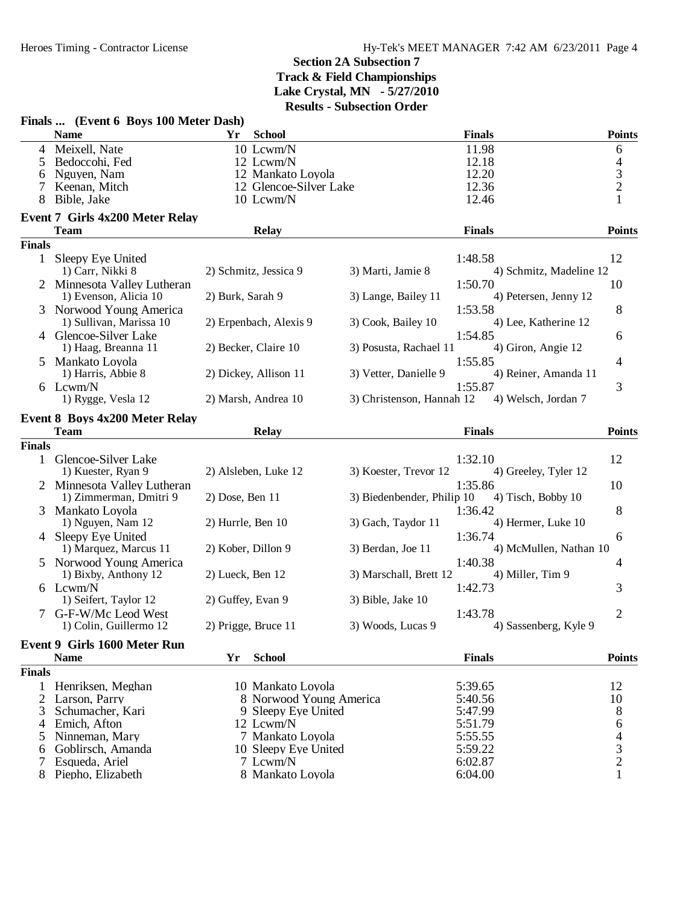| <b>Name</b><br><b>Finals</b><br>Yr<br><b>School</b><br><b>Points</b><br>4 Meixell, Nate<br>11.98<br>10 Lcwm/N<br>6<br>12.18<br>4<br>Bedoccohi, Fed<br>12 Lcwm/N<br>5<br>$\frac{3}{2}$<br>12.20<br>Nguyen, Nam<br>12 Mankato Loyola<br>6<br>12 Glencoe-Silver Lake<br>12.36<br>Keenan, Mitch<br>7<br>Bible, Jake<br>12.46<br>1<br>10 Lcwm/N<br><b>Event 7 Girls 4x200 Meter Relay</b><br><b>Finals</b><br><b>Team</b><br><b>Relay</b><br><b>Points</b><br><b>Finals</b><br>12<br>1 Sleepy Eye United<br>1:48.58<br>2) Schmitz, Jessica 9<br>3) Marti, Jamie 8<br>4) Schmitz, Madeline 12<br>1) Carr, Nikki 8<br>1:50.70<br>Minnesota Valley Lutheran<br>10<br>1) Evenson, Alicia 10<br>2) Burk, Sarah 9<br>3) Lange, Bailey 11<br>4) Petersen, Jenny 12<br>1:53.58<br>8<br>3 Norwood Young America<br>4) Lee, Katherine 12<br>1) Sullivan, Marissa 10<br>2) Erpenbach, Alexis 9<br>3) Cook, Bailey 10<br>4 Glencoe-Silver Lake<br>1:54.85<br>6<br>2) Becker, Claire 10<br>3) Posusta, Rachael 11<br>4) Giron, Angie 12<br>1) Haag, Breanna 11<br>1:55.85<br>4<br>Mankato Loyola<br>5<br>2) Dickey, Allison 11<br>3) Vetter, Danielle 9<br>4) Reiner, Amanda 11<br>1) Harris, Abbie 8<br>1:55.87<br>3<br>6 Lcwm/N<br>3) Christenson, Hannah 12<br>1) Rygge, Vesla 12<br>2) Marsh, Andrea 10<br>4) Welsch, Jordan 7<br><b>Event 8 Boys 4x200 Meter Relay</b><br><b>Relay</b><br><b>Finals</b><br><b>Points</b><br><b>Team</b><br><b>Finals</b><br>Glencoe-Silver Lake<br>1:32.10<br>12<br>1<br>2) Alsleben, Luke 12<br>3) Koester, Trevor 12<br>4) Greeley, Tyler 12<br>1) Kuester, Ryan 9<br>2 Minnesota Valley Lutheran<br>1:35.86<br>10<br>$2)$ Dose, Ben 11<br>3) Biedenbender, Philip 10<br>4) Tisch, Bobby 10<br>1) Zimmerman, Dmitri 9<br>8<br>1:36.42<br>Mankato Loyola<br>3<br>1) Nguyen, Nam 12<br>2) Hurrle, Ben 10<br>3) Gach, Taydor 11<br>4) Hermer, Luke 10<br>1:36.74<br>4 Sleepy Eye United<br>6<br>3) Berdan, Joe 11<br>1) Marquez, Marcus 11<br>2) Kober, Dillon 9<br>4) McMullen, Nathan 10<br>1:40.38<br>5 Norwood Young America<br>4<br>3) Marschall, Brett 12<br>4) Miller, Tim 9<br>1) Bixby, Anthony 12<br>2) Lueck, Ben 12<br>6 Lcwm/N<br>3<br>1:42.73<br>1) Seifert, Taylor 12<br>2) Guffey, Evan 9<br>3) Bible, Jake 10<br>G-F-W/Mc Leod West<br>1:43.78<br>2<br>3) Woods, Lucas 9<br>4) Sassenberg, Kyle 9<br>1) Colin, Guillermo 12<br>2) Prigge, Bruce 11<br>Event 9 Girls 1600 Meter Run<br><b>School</b><br><b>Finals</b><br><b>Name</b><br>Yr<br><b>Points</b><br><b>Finals</b><br>Henriksen, Meghan<br>10 Mankato Loyola<br>5:39.65<br>12<br>1<br>2<br>Larson, Parry<br>8 Norwood Young America<br>5:40.56<br>10<br>Schumacher, Kari<br>9 Sleepy Eye United<br>5:47.99<br>8<br>3<br>Emich, Afton<br>12 Lcwm/N<br>5:51.79<br>6<br>$\overline{4}$<br>7 Mankato Loyola<br>5:55.55<br>Ninneman, Mary<br>4<br>5<br>3<br>Goblirsch, Amanda<br>5:59.22<br>10 Sleepy Eye United<br>6<br>$\overline{c}$<br>7 Lcwm/N<br>Esqueda, Ariel<br>6:02.87<br>8 Piepho, Elizabeth | Finals  (Event 6 Boys 100 Meter Dash) |                  |         |   |
|------------------------------------------------------------------------------------------------------------------------------------------------------------------------------------------------------------------------------------------------------------------------------------------------------------------------------------------------------------------------------------------------------------------------------------------------------------------------------------------------------------------------------------------------------------------------------------------------------------------------------------------------------------------------------------------------------------------------------------------------------------------------------------------------------------------------------------------------------------------------------------------------------------------------------------------------------------------------------------------------------------------------------------------------------------------------------------------------------------------------------------------------------------------------------------------------------------------------------------------------------------------------------------------------------------------------------------------------------------------------------------------------------------------------------------------------------------------------------------------------------------------------------------------------------------------------------------------------------------------------------------------------------------------------------------------------------------------------------------------------------------------------------------------------------------------------------------------------------------------------------------------------------------------------------------------------------------------------------------------------------------------------------------------------------------------------------------------------------------------------------------------------------------------------------------------------------------------------------------------------------------------------------------------------------------------------------------------------------------------------------------------------------------------------------------------------------------------------------------------------------------------------------------------------------------------------------------------------------------------------------------------------------------------------------------------------------------------------------------------------------------------------------------------------------------------------------------------------------------------------------------------------------------------------------------------------------------------------------------------------|---------------------------------------|------------------|---------|---|
|                                                                                                                                                                                                                                                                                                                                                                                                                                                                                                                                                                                                                                                                                                                                                                                                                                                                                                                                                                                                                                                                                                                                                                                                                                                                                                                                                                                                                                                                                                                                                                                                                                                                                                                                                                                                                                                                                                                                                                                                                                                                                                                                                                                                                                                                                                                                                                                                                                                                                                                                                                                                                                                                                                                                                                                                                                                                                                                                                                                                |                                       |                  |         |   |
|                                                                                                                                                                                                                                                                                                                                                                                                                                                                                                                                                                                                                                                                                                                                                                                                                                                                                                                                                                                                                                                                                                                                                                                                                                                                                                                                                                                                                                                                                                                                                                                                                                                                                                                                                                                                                                                                                                                                                                                                                                                                                                                                                                                                                                                                                                                                                                                                                                                                                                                                                                                                                                                                                                                                                                                                                                                                                                                                                                                                |                                       |                  |         |   |
|                                                                                                                                                                                                                                                                                                                                                                                                                                                                                                                                                                                                                                                                                                                                                                                                                                                                                                                                                                                                                                                                                                                                                                                                                                                                                                                                                                                                                                                                                                                                                                                                                                                                                                                                                                                                                                                                                                                                                                                                                                                                                                                                                                                                                                                                                                                                                                                                                                                                                                                                                                                                                                                                                                                                                                                                                                                                                                                                                                                                |                                       |                  |         |   |
|                                                                                                                                                                                                                                                                                                                                                                                                                                                                                                                                                                                                                                                                                                                                                                                                                                                                                                                                                                                                                                                                                                                                                                                                                                                                                                                                                                                                                                                                                                                                                                                                                                                                                                                                                                                                                                                                                                                                                                                                                                                                                                                                                                                                                                                                                                                                                                                                                                                                                                                                                                                                                                                                                                                                                                                                                                                                                                                                                                                                |                                       |                  |         |   |
|                                                                                                                                                                                                                                                                                                                                                                                                                                                                                                                                                                                                                                                                                                                                                                                                                                                                                                                                                                                                                                                                                                                                                                                                                                                                                                                                                                                                                                                                                                                                                                                                                                                                                                                                                                                                                                                                                                                                                                                                                                                                                                                                                                                                                                                                                                                                                                                                                                                                                                                                                                                                                                                                                                                                                                                                                                                                                                                                                                                                |                                       |                  |         |   |
|                                                                                                                                                                                                                                                                                                                                                                                                                                                                                                                                                                                                                                                                                                                                                                                                                                                                                                                                                                                                                                                                                                                                                                                                                                                                                                                                                                                                                                                                                                                                                                                                                                                                                                                                                                                                                                                                                                                                                                                                                                                                                                                                                                                                                                                                                                                                                                                                                                                                                                                                                                                                                                                                                                                                                                                                                                                                                                                                                                                                |                                       |                  |         |   |
|                                                                                                                                                                                                                                                                                                                                                                                                                                                                                                                                                                                                                                                                                                                                                                                                                                                                                                                                                                                                                                                                                                                                                                                                                                                                                                                                                                                                                                                                                                                                                                                                                                                                                                                                                                                                                                                                                                                                                                                                                                                                                                                                                                                                                                                                                                                                                                                                                                                                                                                                                                                                                                                                                                                                                                                                                                                                                                                                                                                                |                                       |                  |         |   |
|                                                                                                                                                                                                                                                                                                                                                                                                                                                                                                                                                                                                                                                                                                                                                                                                                                                                                                                                                                                                                                                                                                                                                                                                                                                                                                                                                                                                                                                                                                                                                                                                                                                                                                                                                                                                                                                                                                                                                                                                                                                                                                                                                                                                                                                                                                                                                                                                                                                                                                                                                                                                                                                                                                                                                                                                                                                                                                                                                                                                |                                       |                  |         |   |
|                                                                                                                                                                                                                                                                                                                                                                                                                                                                                                                                                                                                                                                                                                                                                                                                                                                                                                                                                                                                                                                                                                                                                                                                                                                                                                                                                                                                                                                                                                                                                                                                                                                                                                                                                                                                                                                                                                                                                                                                                                                                                                                                                                                                                                                                                                                                                                                                                                                                                                                                                                                                                                                                                                                                                                                                                                                                                                                                                                                                |                                       |                  |         |   |
|                                                                                                                                                                                                                                                                                                                                                                                                                                                                                                                                                                                                                                                                                                                                                                                                                                                                                                                                                                                                                                                                                                                                                                                                                                                                                                                                                                                                                                                                                                                                                                                                                                                                                                                                                                                                                                                                                                                                                                                                                                                                                                                                                                                                                                                                                                                                                                                                                                                                                                                                                                                                                                                                                                                                                                                                                                                                                                                                                                                                |                                       |                  |         |   |
|                                                                                                                                                                                                                                                                                                                                                                                                                                                                                                                                                                                                                                                                                                                                                                                                                                                                                                                                                                                                                                                                                                                                                                                                                                                                                                                                                                                                                                                                                                                                                                                                                                                                                                                                                                                                                                                                                                                                                                                                                                                                                                                                                                                                                                                                                                                                                                                                                                                                                                                                                                                                                                                                                                                                                                                                                                                                                                                                                                                                |                                       |                  |         |   |
|                                                                                                                                                                                                                                                                                                                                                                                                                                                                                                                                                                                                                                                                                                                                                                                                                                                                                                                                                                                                                                                                                                                                                                                                                                                                                                                                                                                                                                                                                                                                                                                                                                                                                                                                                                                                                                                                                                                                                                                                                                                                                                                                                                                                                                                                                                                                                                                                                                                                                                                                                                                                                                                                                                                                                                                                                                                                                                                                                                                                |                                       |                  |         |   |
|                                                                                                                                                                                                                                                                                                                                                                                                                                                                                                                                                                                                                                                                                                                                                                                                                                                                                                                                                                                                                                                                                                                                                                                                                                                                                                                                                                                                                                                                                                                                                                                                                                                                                                                                                                                                                                                                                                                                                                                                                                                                                                                                                                                                                                                                                                                                                                                                                                                                                                                                                                                                                                                                                                                                                                                                                                                                                                                                                                                                |                                       |                  |         |   |
|                                                                                                                                                                                                                                                                                                                                                                                                                                                                                                                                                                                                                                                                                                                                                                                                                                                                                                                                                                                                                                                                                                                                                                                                                                                                                                                                                                                                                                                                                                                                                                                                                                                                                                                                                                                                                                                                                                                                                                                                                                                                                                                                                                                                                                                                                                                                                                                                                                                                                                                                                                                                                                                                                                                                                                                                                                                                                                                                                                                                |                                       |                  |         |   |
|                                                                                                                                                                                                                                                                                                                                                                                                                                                                                                                                                                                                                                                                                                                                                                                                                                                                                                                                                                                                                                                                                                                                                                                                                                                                                                                                                                                                                                                                                                                                                                                                                                                                                                                                                                                                                                                                                                                                                                                                                                                                                                                                                                                                                                                                                                                                                                                                                                                                                                                                                                                                                                                                                                                                                                                                                                                                                                                                                                                                |                                       |                  |         |   |
|                                                                                                                                                                                                                                                                                                                                                                                                                                                                                                                                                                                                                                                                                                                                                                                                                                                                                                                                                                                                                                                                                                                                                                                                                                                                                                                                                                                                                                                                                                                                                                                                                                                                                                                                                                                                                                                                                                                                                                                                                                                                                                                                                                                                                                                                                                                                                                                                                                                                                                                                                                                                                                                                                                                                                                                                                                                                                                                                                                                                |                                       |                  |         |   |
|                                                                                                                                                                                                                                                                                                                                                                                                                                                                                                                                                                                                                                                                                                                                                                                                                                                                                                                                                                                                                                                                                                                                                                                                                                                                                                                                                                                                                                                                                                                                                                                                                                                                                                                                                                                                                                                                                                                                                                                                                                                                                                                                                                                                                                                                                                                                                                                                                                                                                                                                                                                                                                                                                                                                                                                                                                                                                                                                                                                                |                                       |                  |         |   |
|                                                                                                                                                                                                                                                                                                                                                                                                                                                                                                                                                                                                                                                                                                                                                                                                                                                                                                                                                                                                                                                                                                                                                                                                                                                                                                                                                                                                                                                                                                                                                                                                                                                                                                                                                                                                                                                                                                                                                                                                                                                                                                                                                                                                                                                                                                                                                                                                                                                                                                                                                                                                                                                                                                                                                                                                                                                                                                                                                                                                |                                       |                  |         |   |
|                                                                                                                                                                                                                                                                                                                                                                                                                                                                                                                                                                                                                                                                                                                                                                                                                                                                                                                                                                                                                                                                                                                                                                                                                                                                                                                                                                                                                                                                                                                                                                                                                                                                                                                                                                                                                                                                                                                                                                                                                                                                                                                                                                                                                                                                                                                                                                                                                                                                                                                                                                                                                                                                                                                                                                                                                                                                                                                                                                                                |                                       |                  |         |   |
|                                                                                                                                                                                                                                                                                                                                                                                                                                                                                                                                                                                                                                                                                                                                                                                                                                                                                                                                                                                                                                                                                                                                                                                                                                                                                                                                                                                                                                                                                                                                                                                                                                                                                                                                                                                                                                                                                                                                                                                                                                                                                                                                                                                                                                                                                                                                                                                                                                                                                                                                                                                                                                                                                                                                                                                                                                                                                                                                                                                                |                                       |                  |         |   |
|                                                                                                                                                                                                                                                                                                                                                                                                                                                                                                                                                                                                                                                                                                                                                                                                                                                                                                                                                                                                                                                                                                                                                                                                                                                                                                                                                                                                                                                                                                                                                                                                                                                                                                                                                                                                                                                                                                                                                                                                                                                                                                                                                                                                                                                                                                                                                                                                                                                                                                                                                                                                                                                                                                                                                                                                                                                                                                                                                                                                |                                       |                  |         |   |
|                                                                                                                                                                                                                                                                                                                                                                                                                                                                                                                                                                                                                                                                                                                                                                                                                                                                                                                                                                                                                                                                                                                                                                                                                                                                                                                                                                                                                                                                                                                                                                                                                                                                                                                                                                                                                                                                                                                                                                                                                                                                                                                                                                                                                                                                                                                                                                                                                                                                                                                                                                                                                                                                                                                                                                                                                                                                                                                                                                                                |                                       |                  |         |   |
|                                                                                                                                                                                                                                                                                                                                                                                                                                                                                                                                                                                                                                                                                                                                                                                                                                                                                                                                                                                                                                                                                                                                                                                                                                                                                                                                                                                                                                                                                                                                                                                                                                                                                                                                                                                                                                                                                                                                                                                                                                                                                                                                                                                                                                                                                                                                                                                                                                                                                                                                                                                                                                                                                                                                                                                                                                                                                                                                                                                                |                                       |                  |         |   |
|                                                                                                                                                                                                                                                                                                                                                                                                                                                                                                                                                                                                                                                                                                                                                                                                                                                                                                                                                                                                                                                                                                                                                                                                                                                                                                                                                                                                                                                                                                                                                                                                                                                                                                                                                                                                                                                                                                                                                                                                                                                                                                                                                                                                                                                                                                                                                                                                                                                                                                                                                                                                                                                                                                                                                                                                                                                                                                                                                                                                |                                       |                  |         |   |
|                                                                                                                                                                                                                                                                                                                                                                                                                                                                                                                                                                                                                                                                                                                                                                                                                                                                                                                                                                                                                                                                                                                                                                                                                                                                                                                                                                                                                                                                                                                                                                                                                                                                                                                                                                                                                                                                                                                                                                                                                                                                                                                                                                                                                                                                                                                                                                                                                                                                                                                                                                                                                                                                                                                                                                                                                                                                                                                                                                                                |                                       |                  |         |   |
|                                                                                                                                                                                                                                                                                                                                                                                                                                                                                                                                                                                                                                                                                                                                                                                                                                                                                                                                                                                                                                                                                                                                                                                                                                                                                                                                                                                                                                                                                                                                                                                                                                                                                                                                                                                                                                                                                                                                                                                                                                                                                                                                                                                                                                                                                                                                                                                                                                                                                                                                                                                                                                                                                                                                                                                                                                                                                                                                                                                                |                                       |                  |         |   |
|                                                                                                                                                                                                                                                                                                                                                                                                                                                                                                                                                                                                                                                                                                                                                                                                                                                                                                                                                                                                                                                                                                                                                                                                                                                                                                                                                                                                                                                                                                                                                                                                                                                                                                                                                                                                                                                                                                                                                                                                                                                                                                                                                                                                                                                                                                                                                                                                                                                                                                                                                                                                                                                                                                                                                                                                                                                                                                                                                                                                |                                       |                  |         |   |
|                                                                                                                                                                                                                                                                                                                                                                                                                                                                                                                                                                                                                                                                                                                                                                                                                                                                                                                                                                                                                                                                                                                                                                                                                                                                                                                                                                                                                                                                                                                                                                                                                                                                                                                                                                                                                                                                                                                                                                                                                                                                                                                                                                                                                                                                                                                                                                                                                                                                                                                                                                                                                                                                                                                                                                                                                                                                                                                                                                                                |                                       |                  |         |   |
|                                                                                                                                                                                                                                                                                                                                                                                                                                                                                                                                                                                                                                                                                                                                                                                                                                                                                                                                                                                                                                                                                                                                                                                                                                                                                                                                                                                                                                                                                                                                                                                                                                                                                                                                                                                                                                                                                                                                                                                                                                                                                                                                                                                                                                                                                                                                                                                                                                                                                                                                                                                                                                                                                                                                                                                                                                                                                                                                                                                                |                                       |                  |         |   |
|                                                                                                                                                                                                                                                                                                                                                                                                                                                                                                                                                                                                                                                                                                                                                                                                                                                                                                                                                                                                                                                                                                                                                                                                                                                                                                                                                                                                                                                                                                                                                                                                                                                                                                                                                                                                                                                                                                                                                                                                                                                                                                                                                                                                                                                                                                                                                                                                                                                                                                                                                                                                                                                                                                                                                                                                                                                                                                                                                                                                |                                       |                  |         |   |
|                                                                                                                                                                                                                                                                                                                                                                                                                                                                                                                                                                                                                                                                                                                                                                                                                                                                                                                                                                                                                                                                                                                                                                                                                                                                                                                                                                                                                                                                                                                                                                                                                                                                                                                                                                                                                                                                                                                                                                                                                                                                                                                                                                                                                                                                                                                                                                                                                                                                                                                                                                                                                                                                                                                                                                                                                                                                                                                                                                                                |                                       |                  |         |   |
|                                                                                                                                                                                                                                                                                                                                                                                                                                                                                                                                                                                                                                                                                                                                                                                                                                                                                                                                                                                                                                                                                                                                                                                                                                                                                                                                                                                                                                                                                                                                                                                                                                                                                                                                                                                                                                                                                                                                                                                                                                                                                                                                                                                                                                                                                                                                                                                                                                                                                                                                                                                                                                                                                                                                                                                                                                                                                                                                                                                                |                                       |                  |         |   |
|                                                                                                                                                                                                                                                                                                                                                                                                                                                                                                                                                                                                                                                                                                                                                                                                                                                                                                                                                                                                                                                                                                                                                                                                                                                                                                                                                                                                                                                                                                                                                                                                                                                                                                                                                                                                                                                                                                                                                                                                                                                                                                                                                                                                                                                                                                                                                                                                                                                                                                                                                                                                                                                                                                                                                                                                                                                                                                                                                                                                |                                       |                  |         |   |
|                                                                                                                                                                                                                                                                                                                                                                                                                                                                                                                                                                                                                                                                                                                                                                                                                                                                                                                                                                                                                                                                                                                                                                                                                                                                                                                                                                                                                                                                                                                                                                                                                                                                                                                                                                                                                                                                                                                                                                                                                                                                                                                                                                                                                                                                                                                                                                                                                                                                                                                                                                                                                                                                                                                                                                                                                                                                                                                                                                                                |                                       |                  |         |   |
|                                                                                                                                                                                                                                                                                                                                                                                                                                                                                                                                                                                                                                                                                                                                                                                                                                                                                                                                                                                                                                                                                                                                                                                                                                                                                                                                                                                                                                                                                                                                                                                                                                                                                                                                                                                                                                                                                                                                                                                                                                                                                                                                                                                                                                                                                                                                                                                                                                                                                                                                                                                                                                                                                                                                                                                                                                                                                                                                                                                                |                                       |                  |         |   |
|                                                                                                                                                                                                                                                                                                                                                                                                                                                                                                                                                                                                                                                                                                                                                                                                                                                                                                                                                                                                                                                                                                                                                                                                                                                                                                                                                                                                                                                                                                                                                                                                                                                                                                                                                                                                                                                                                                                                                                                                                                                                                                                                                                                                                                                                                                                                                                                                                                                                                                                                                                                                                                                                                                                                                                                                                                                                                                                                                                                                |                                       |                  |         |   |
|                                                                                                                                                                                                                                                                                                                                                                                                                                                                                                                                                                                                                                                                                                                                                                                                                                                                                                                                                                                                                                                                                                                                                                                                                                                                                                                                                                                                                                                                                                                                                                                                                                                                                                                                                                                                                                                                                                                                                                                                                                                                                                                                                                                                                                                                                                                                                                                                                                                                                                                                                                                                                                                                                                                                                                                                                                                                                                                                                                                                |                                       |                  |         |   |
|                                                                                                                                                                                                                                                                                                                                                                                                                                                                                                                                                                                                                                                                                                                                                                                                                                                                                                                                                                                                                                                                                                                                                                                                                                                                                                                                                                                                                                                                                                                                                                                                                                                                                                                                                                                                                                                                                                                                                                                                                                                                                                                                                                                                                                                                                                                                                                                                                                                                                                                                                                                                                                                                                                                                                                                                                                                                                                                                                                                                |                                       |                  |         |   |
|                                                                                                                                                                                                                                                                                                                                                                                                                                                                                                                                                                                                                                                                                                                                                                                                                                                                                                                                                                                                                                                                                                                                                                                                                                                                                                                                                                                                                                                                                                                                                                                                                                                                                                                                                                                                                                                                                                                                                                                                                                                                                                                                                                                                                                                                                                                                                                                                                                                                                                                                                                                                                                                                                                                                                                                                                                                                                                                                                                                                |                                       |                  |         |   |
|                                                                                                                                                                                                                                                                                                                                                                                                                                                                                                                                                                                                                                                                                                                                                                                                                                                                                                                                                                                                                                                                                                                                                                                                                                                                                                                                                                                                                                                                                                                                                                                                                                                                                                                                                                                                                                                                                                                                                                                                                                                                                                                                                                                                                                                                                                                                                                                                                                                                                                                                                                                                                                                                                                                                                                                                                                                                                                                                                                                                |                                       |                  |         |   |
|                                                                                                                                                                                                                                                                                                                                                                                                                                                                                                                                                                                                                                                                                                                                                                                                                                                                                                                                                                                                                                                                                                                                                                                                                                                                                                                                                                                                                                                                                                                                                                                                                                                                                                                                                                                                                                                                                                                                                                                                                                                                                                                                                                                                                                                                                                                                                                                                                                                                                                                                                                                                                                                                                                                                                                                                                                                                                                                                                                                                |                                       |                  |         |   |
|                                                                                                                                                                                                                                                                                                                                                                                                                                                                                                                                                                                                                                                                                                                                                                                                                                                                                                                                                                                                                                                                                                                                                                                                                                                                                                                                                                                                                                                                                                                                                                                                                                                                                                                                                                                                                                                                                                                                                                                                                                                                                                                                                                                                                                                                                                                                                                                                                                                                                                                                                                                                                                                                                                                                                                                                                                                                                                                                                                                                |                                       |                  |         |   |
|                                                                                                                                                                                                                                                                                                                                                                                                                                                                                                                                                                                                                                                                                                                                                                                                                                                                                                                                                                                                                                                                                                                                                                                                                                                                                                                                                                                                                                                                                                                                                                                                                                                                                                                                                                                                                                                                                                                                                                                                                                                                                                                                                                                                                                                                                                                                                                                                                                                                                                                                                                                                                                                                                                                                                                                                                                                                                                                                                                                                |                                       |                  |         |   |
|                                                                                                                                                                                                                                                                                                                                                                                                                                                                                                                                                                                                                                                                                                                                                                                                                                                                                                                                                                                                                                                                                                                                                                                                                                                                                                                                                                                                                                                                                                                                                                                                                                                                                                                                                                                                                                                                                                                                                                                                                                                                                                                                                                                                                                                                                                                                                                                                                                                                                                                                                                                                                                                                                                                                                                                                                                                                                                                                                                                                |                                       |                  |         |   |
|                                                                                                                                                                                                                                                                                                                                                                                                                                                                                                                                                                                                                                                                                                                                                                                                                                                                                                                                                                                                                                                                                                                                                                                                                                                                                                                                                                                                                                                                                                                                                                                                                                                                                                                                                                                                                                                                                                                                                                                                                                                                                                                                                                                                                                                                                                                                                                                                                                                                                                                                                                                                                                                                                                                                                                                                                                                                                                                                                                                                |                                       |                  |         |   |
|                                                                                                                                                                                                                                                                                                                                                                                                                                                                                                                                                                                                                                                                                                                                                                                                                                                                                                                                                                                                                                                                                                                                                                                                                                                                                                                                                                                                                                                                                                                                                                                                                                                                                                                                                                                                                                                                                                                                                                                                                                                                                                                                                                                                                                                                                                                                                                                                                                                                                                                                                                                                                                                                                                                                                                                                                                                                                                                                                                                                |                                       |                  |         |   |
|                                                                                                                                                                                                                                                                                                                                                                                                                                                                                                                                                                                                                                                                                                                                                                                                                                                                                                                                                                                                                                                                                                                                                                                                                                                                                                                                                                                                                                                                                                                                                                                                                                                                                                                                                                                                                                                                                                                                                                                                                                                                                                                                                                                                                                                                                                                                                                                                                                                                                                                                                                                                                                                                                                                                                                                                                                                                                                                                                                                                |                                       |                  |         |   |
|                                                                                                                                                                                                                                                                                                                                                                                                                                                                                                                                                                                                                                                                                                                                                                                                                                                                                                                                                                                                                                                                                                                                                                                                                                                                                                                                                                                                                                                                                                                                                                                                                                                                                                                                                                                                                                                                                                                                                                                                                                                                                                                                                                                                                                                                                                                                                                                                                                                                                                                                                                                                                                                                                                                                                                                                                                                                                                                                                                                                |                                       |                  |         |   |
|                                                                                                                                                                                                                                                                                                                                                                                                                                                                                                                                                                                                                                                                                                                                                                                                                                                                                                                                                                                                                                                                                                                                                                                                                                                                                                                                                                                                                                                                                                                                                                                                                                                                                                                                                                                                                                                                                                                                                                                                                                                                                                                                                                                                                                                                                                                                                                                                                                                                                                                                                                                                                                                                                                                                                                                                                                                                                                                                                                                                |                                       | 8 Mankato Loyola | 6:04.00 | 1 |

- 
- 8 Piepho, Elizabeth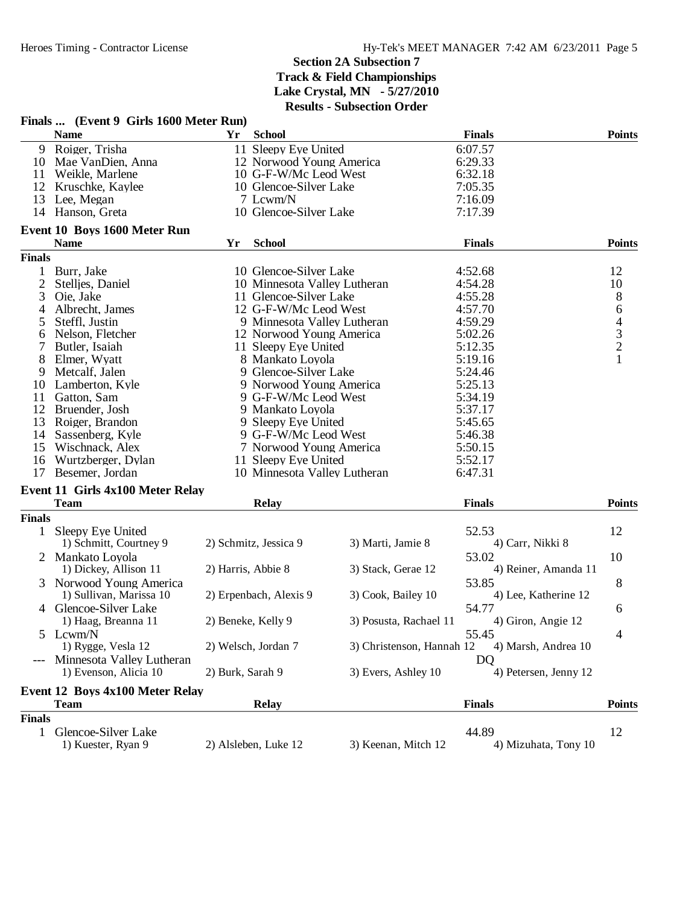| Yr<br><b>School</b><br><b>Finals</b><br><b>Points</b><br><b>Name</b><br>Roiger, Trisha<br>9<br>11 Sleepy Eye United<br>6:07.57<br>6:29.33<br>10<br>Mae VanDien, Anna<br>12 Norwood Young America<br>10 G-F-W/Mc Leod West<br>6:32.18<br>Weikle, Marlene<br>11<br>12<br>10 Glencoe-Silver Lake<br>7:05.35<br>Kruschke, Kaylee<br>7 Lcwm/N<br>13<br>Lee, Megan<br>7:16.09<br>10 Glencoe-Silver Lake<br>14<br>Hanson, Greta<br>7:17.39<br>Event 10 Boys 1600 Meter Run<br><b>School</b><br><b>Points</b><br><b>Name</b><br><b>Finals</b><br>Yr<br><b>Finals</b><br>10 Glencoe-Silver Lake<br>Burr, Jake<br>4:52.68<br>12<br>$\mathbf{1}$<br>2<br>10 Minnesota Valley Lutheran<br>4:54.28<br>10<br>Stelljes, Daniel<br>8<br>3<br>Oie, Jake<br>11 Glencoe-Silver Lake<br>4:55.28<br>6<br>12 G-F-W/Mc Leod West<br>4:57.70<br>Albrecht, James<br>4<br>$\begin{array}{c} 4 \\ 3 \\ 2 \\ 1 \end{array}$<br>Steffl, Justin<br>9 Minnesota Valley Lutheran<br>4:59.29<br>5<br>Nelson, Fletcher<br>12 Norwood Young America<br>5:02.26<br>6<br>7<br>Butler, Isaiah<br>11 Sleepy Eye United<br>5:12.35<br>8<br>Elmer, Wyatt<br>8 Mankato Loyola<br>5:19.16<br>9<br>Metcalf, Jalen<br>9 Glencoe-Silver Lake<br>5:24.46<br>9 Norwood Young America<br>Lamberton, Kyle<br>5:25.13<br>10<br>11<br>Gatton, Sam<br>9 G-F-W/Mc Leod West<br>5:34.19<br>12<br>Bruender, Josh<br>9 Mankato Loyola<br>5:37.17<br>13<br>Roiger, Brandon<br>9 Sleepy Eye United<br>5:45.65<br>Sassenberg, Kyle<br>9 G-F-W/Mc Leod West<br>5:46.38<br>14<br>15<br>Wischnack, Alex<br>7 Norwood Young America<br>5:50.15<br>16<br>Wurtzberger, Dylan<br>11 Sleepy Eye United<br>5:52.17<br>17<br>Besemer, Jordan<br>10 Minnesota Valley Lutheran<br>6:47.31<br>Event 11 Girls 4x100 Meter Relay<br><b>Points</b><br><b>Team</b><br><b>Relay</b><br><b>Finals</b><br><b>Finals</b><br>12<br>Sleepy Eye United<br>52.53<br>$\mathbf{1}$<br>2) Schmitz, Jessica 9<br>3) Marti, Jamie 8<br>4) Carr, Nikki 8<br>1) Schmitt, Courtney 9<br>2 Mankato Loyola<br>53.02<br>10<br>1) Dickey, Allison 11<br>2) Harris, Abbie 8<br>3) Stack, Gerae 12<br>4) Reiner, Amanda 11<br>8<br>3 Norwood Young America<br>53.85<br>2) Erpenbach, Alexis 9<br>3) Cook, Bailey 10<br>4) Lee, Katherine 12<br>1) Sullivan, Marissa 10<br>Glencoe-Silver Lake<br>54.77<br>6<br>4<br>3) Posusta, Rachael 11<br>1) Haag, Breanna 11<br>2) Beneke, Kelly 9<br>4) Giron, Angie 12<br>5<br>Lcwm/N<br>55.45<br>4<br>3) Christenson, Hannah 12<br>1) Rygge, Vesla 12<br>2) Welsch, Jordan 7<br>4) Marsh, Andrea 10<br>Minnesota Valley Lutheran<br>DQ<br>1) Evenson, Alicia 10<br>4) Petersen, Jenny 12<br>2) Burk, Sarah 9<br>3) Evers, Ashley 10<br><b>Event 12 Boys 4x100 Meter Relay</b><br><b>Finals</b><br><b>Points</b><br><b>Team</b><br><b>Relay</b><br><b>Finals</b><br>44.89<br>12<br>$\mathbf{1}$<br>Glencoe-Silver Lake<br>1) Kuester, Ryan 9<br>2) Alsleben, Luke 12<br>3) Keenan, Mitch 12<br>4) Mizuhata, Tony 10 | Finals  (Event 9 Girls 1600 Meter Run) |  |  |  |
|---------------------------------------------------------------------------------------------------------------------------------------------------------------------------------------------------------------------------------------------------------------------------------------------------------------------------------------------------------------------------------------------------------------------------------------------------------------------------------------------------------------------------------------------------------------------------------------------------------------------------------------------------------------------------------------------------------------------------------------------------------------------------------------------------------------------------------------------------------------------------------------------------------------------------------------------------------------------------------------------------------------------------------------------------------------------------------------------------------------------------------------------------------------------------------------------------------------------------------------------------------------------------------------------------------------------------------------------------------------------------------------------------------------------------------------------------------------------------------------------------------------------------------------------------------------------------------------------------------------------------------------------------------------------------------------------------------------------------------------------------------------------------------------------------------------------------------------------------------------------------------------------------------------------------------------------------------------------------------------------------------------------------------------------------------------------------------------------------------------------------------------------------------------------------------------------------------------------------------------------------------------------------------------------------------------------------------------------------------------------------------------------------------------------------------------------------------------------------------------------------------------------------------------------------------------------------------------------------------------------------------------------------------------------------------------------------------------------------------------------------------------------------------------------------------------------------------------------------------------------------------------------------------------------------------------------------------|----------------------------------------|--|--|--|
|                                                                                                                                                                                                                                                                                                                                                                                                                                                                                                                                                                                                                                                                                                                                                                                                                                                                                                                                                                                                                                                                                                                                                                                                                                                                                                                                                                                                                                                                                                                                                                                                                                                                                                                                                                                                                                                                                                                                                                                                                                                                                                                                                                                                                                                                                                                                                                                                                                                                                                                                                                                                                                                                                                                                                                                                                                                                                                                                                         |                                        |  |  |  |
|                                                                                                                                                                                                                                                                                                                                                                                                                                                                                                                                                                                                                                                                                                                                                                                                                                                                                                                                                                                                                                                                                                                                                                                                                                                                                                                                                                                                                                                                                                                                                                                                                                                                                                                                                                                                                                                                                                                                                                                                                                                                                                                                                                                                                                                                                                                                                                                                                                                                                                                                                                                                                                                                                                                                                                                                                                                                                                                                                         |                                        |  |  |  |
|                                                                                                                                                                                                                                                                                                                                                                                                                                                                                                                                                                                                                                                                                                                                                                                                                                                                                                                                                                                                                                                                                                                                                                                                                                                                                                                                                                                                                                                                                                                                                                                                                                                                                                                                                                                                                                                                                                                                                                                                                                                                                                                                                                                                                                                                                                                                                                                                                                                                                                                                                                                                                                                                                                                                                                                                                                                                                                                                                         |                                        |  |  |  |
|                                                                                                                                                                                                                                                                                                                                                                                                                                                                                                                                                                                                                                                                                                                                                                                                                                                                                                                                                                                                                                                                                                                                                                                                                                                                                                                                                                                                                                                                                                                                                                                                                                                                                                                                                                                                                                                                                                                                                                                                                                                                                                                                                                                                                                                                                                                                                                                                                                                                                                                                                                                                                                                                                                                                                                                                                                                                                                                                                         |                                        |  |  |  |
|                                                                                                                                                                                                                                                                                                                                                                                                                                                                                                                                                                                                                                                                                                                                                                                                                                                                                                                                                                                                                                                                                                                                                                                                                                                                                                                                                                                                                                                                                                                                                                                                                                                                                                                                                                                                                                                                                                                                                                                                                                                                                                                                                                                                                                                                                                                                                                                                                                                                                                                                                                                                                                                                                                                                                                                                                                                                                                                                                         |                                        |  |  |  |
|                                                                                                                                                                                                                                                                                                                                                                                                                                                                                                                                                                                                                                                                                                                                                                                                                                                                                                                                                                                                                                                                                                                                                                                                                                                                                                                                                                                                                                                                                                                                                                                                                                                                                                                                                                                                                                                                                                                                                                                                                                                                                                                                                                                                                                                                                                                                                                                                                                                                                                                                                                                                                                                                                                                                                                                                                                                                                                                                                         |                                        |  |  |  |
|                                                                                                                                                                                                                                                                                                                                                                                                                                                                                                                                                                                                                                                                                                                                                                                                                                                                                                                                                                                                                                                                                                                                                                                                                                                                                                                                                                                                                                                                                                                                                                                                                                                                                                                                                                                                                                                                                                                                                                                                                                                                                                                                                                                                                                                                                                                                                                                                                                                                                                                                                                                                                                                                                                                                                                                                                                                                                                                                                         |                                        |  |  |  |
|                                                                                                                                                                                                                                                                                                                                                                                                                                                                                                                                                                                                                                                                                                                                                                                                                                                                                                                                                                                                                                                                                                                                                                                                                                                                                                                                                                                                                                                                                                                                                                                                                                                                                                                                                                                                                                                                                                                                                                                                                                                                                                                                                                                                                                                                                                                                                                                                                                                                                                                                                                                                                                                                                                                                                                                                                                                                                                                                                         |                                        |  |  |  |
|                                                                                                                                                                                                                                                                                                                                                                                                                                                                                                                                                                                                                                                                                                                                                                                                                                                                                                                                                                                                                                                                                                                                                                                                                                                                                                                                                                                                                                                                                                                                                                                                                                                                                                                                                                                                                                                                                                                                                                                                                                                                                                                                                                                                                                                                                                                                                                                                                                                                                                                                                                                                                                                                                                                                                                                                                                                                                                                                                         |                                        |  |  |  |
|                                                                                                                                                                                                                                                                                                                                                                                                                                                                                                                                                                                                                                                                                                                                                                                                                                                                                                                                                                                                                                                                                                                                                                                                                                                                                                                                                                                                                                                                                                                                                                                                                                                                                                                                                                                                                                                                                                                                                                                                                                                                                                                                                                                                                                                                                                                                                                                                                                                                                                                                                                                                                                                                                                                                                                                                                                                                                                                                                         |                                        |  |  |  |
|                                                                                                                                                                                                                                                                                                                                                                                                                                                                                                                                                                                                                                                                                                                                                                                                                                                                                                                                                                                                                                                                                                                                                                                                                                                                                                                                                                                                                                                                                                                                                                                                                                                                                                                                                                                                                                                                                                                                                                                                                                                                                                                                                                                                                                                                                                                                                                                                                                                                                                                                                                                                                                                                                                                                                                                                                                                                                                                                                         |                                        |  |  |  |
|                                                                                                                                                                                                                                                                                                                                                                                                                                                                                                                                                                                                                                                                                                                                                                                                                                                                                                                                                                                                                                                                                                                                                                                                                                                                                                                                                                                                                                                                                                                                                                                                                                                                                                                                                                                                                                                                                                                                                                                                                                                                                                                                                                                                                                                                                                                                                                                                                                                                                                                                                                                                                                                                                                                                                                                                                                                                                                                                                         |                                        |  |  |  |
|                                                                                                                                                                                                                                                                                                                                                                                                                                                                                                                                                                                                                                                                                                                                                                                                                                                                                                                                                                                                                                                                                                                                                                                                                                                                                                                                                                                                                                                                                                                                                                                                                                                                                                                                                                                                                                                                                                                                                                                                                                                                                                                                                                                                                                                                                                                                                                                                                                                                                                                                                                                                                                                                                                                                                                                                                                                                                                                                                         |                                        |  |  |  |
|                                                                                                                                                                                                                                                                                                                                                                                                                                                                                                                                                                                                                                                                                                                                                                                                                                                                                                                                                                                                                                                                                                                                                                                                                                                                                                                                                                                                                                                                                                                                                                                                                                                                                                                                                                                                                                                                                                                                                                                                                                                                                                                                                                                                                                                                                                                                                                                                                                                                                                                                                                                                                                                                                                                                                                                                                                                                                                                                                         |                                        |  |  |  |
|                                                                                                                                                                                                                                                                                                                                                                                                                                                                                                                                                                                                                                                                                                                                                                                                                                                                                                                                                                                                                                                                                                                                                                                                                                                                                                                                                                                                                                                                                                                                                                                                                                                                                                                                                                                                                                                                                                                                                                                                                                                                                                                                                                                                                                                                                                                                                                                                                                                                                                                                                                                                                                                                                                                                                                                                                                                                                                                                                         |                                        |  |  |  |
|                                                                                                                                                                                                                                                                                                                                                                                                                                                                                                                                                                                                                                                                                                                                                                                                                                                                                                                                                                                                                                                                                                                                                                                                                                                                                                                                                                                                                                                                                                                                                                                                                                                                                                                                                                                                                                                                                                                                                                                                                                                                                                                                                                                                                                                                                                                                                                                                                                                                                                                                                                                                                                                                                                                                                                                                                                                                                                                                                         |                                        |  |  |  |
|                                                                                                                                                                                                                                                                                                                                                                                                                                                                                                                                                                                                                                                                                                                                                                                                                                                                                                                                                                                                                                                                                                                                                                                                                                                                                                                                                                                                                                                                                                                                                                                                                                                                                                                                                                                                                                                                                                                                                                                                                                                                                                                                                                                                                                                                                                                                                                                                                                                                                                                                                                                                                                                                                                                                                                                                                                                                                                                                                         |                                        |  |  |  |
|                                                                                                                                                                                                                                                                                                                                                                                                                                                                                                                                                                                                                                                                                                                                                                                                                                                                                                                                                                                                                                                                                                                                                                                                                                                                                                                                                                                                                                                                                                                                                                                                                                                                                                                                                                                                                                                                                                                                                                                                                                                                                                                                                                                                                                                                                                                                                                                                                                                                                                                                                                                                                                                                                                                                                                                                                                                                                                                                                         |                                        |  |  |  |
|                                                                                                                                                                                                                                                                                                                                                                                                                                                                                                                                                                                                                                                                                                                                                                                                                                                                                                                                                                                                                                                                                                                                                                                                                                                                                                                                                                                                                                                                                                                                                                                                                                                                                                                                                                                                                                                                                                                                                                                                                                                                                                                                                                                                                                                                                                                                                                                                                                                                                                                                                                                                                                                                                                                                                                                                                                                                                                                                                         |                                        |  |  |  |
|                                                                                                                                                                                                                                                                                                                                                                                                                                                                                                                                                                                                                                                                                                                                                                                                                                                                                                                                                                                                                                                                                                                                                                                                                                                                                                                                                                                                                                                                                                                                                                                                                                                                                                                                                                                                                                                                                                                                                                                                                                                                                                                                                                                                                                                                                                                                                                                                                                                                                                                                                                                                                                                                                                                                                                                                                                                                                                                                                         |                                        |  |  |  |
|                                                                                                                                                                                                                                                                                                                                                                                                                                                                                                                                                                                                                                                                                                                                                                                                                                                                                                                                                                                                                                                                                                                                                                                                                                                                                                                                                                                                                                                                                                                                                                                                                                                                                                                                                                                                                                                                                                                                                                                                                                                                                                                                                                                                                                                                                                                                                                                                                                                                                                                                                                                                                                                                                                                                                                                                                                                                                                                                                         |                                        |  |  |  |
|                                                                                                                                                                                                                                                                                                                                                                                                                                                                                                                                                                                                                                                                                                                                                                                                                                                                                                                                                                                                                                                                                                                                                                                                                                                                                                                                                                                                                                                                                                                                                                                                                                                                                                                                                                                                                                                                                                                                                                                                                                                                                                                                                                                                                                                                                                                                                                                                                                                                                                                                                                                                                                                                                                                                                                                                                                                                                                                                                         |                                        |  |  |  |
|                                                                                                                                                                                                                                                                                                                                                                                                                                                                                                                                                                                                                                                                                                                                                                                                                                                                                                                                                                                                                                                                                                                                                                                                                                                                                                                                                                                                                                                                                                                                                                                                                                                                                                                                                                                                                                                                                                                                                                                                                                                                                                                                                                                                                                                                                                                                                                                                                                                                                                                                                                                                                                                                                                                                                                                                                                                                                                                                                         |                                        |  |  |  |
|                                                                                                                                                                                                                                                                                                                                                                                                                                                                                                                                                                                                                                                                                                                                                                                                                                                                                                                                                                                                                                                                                                                                                                                                                                                                                                                                                                                                                                                                                                                                                                                                                                                                                                                                                                                                                                                                                                                                                                                                                                                                                                                                                                                                                                                                                                                                                                                                                                                                                                                                                                                                                                                                                                                                                                                                                                                                                                                                                         |                                        |  |  |  |
|                                                                                                                                                                                                                                                                                                                                                                                                                                                                                                                                                                                                                                                                                                                                                                                                                                                                                                                                                                                                                                                                                                                                                                                                                                                                                                                                                                                                                                                                                                                                                                                                                                                                                                                                                                                                                                                                                                                                                                                                                                                                                                                                                                                                                                                                                                                                                                                                                                                                                                                                                                                                                                                                                                                                                                                                                                                                                                                                                         |                                        |  |  |  |
|                                                                                                                                                                                                                                                                                                                                                                                                                                                                                                                                                                                                                                                                                                                                                                                                                                                                                                                                                                                                                                                                                                                                                                                                                                                                                                                                                                                                                                                                                                                                                                                                                                                                                                                                                                                                                                                                                                                                                                                                                                                                                                                                                                                                                                                                                                                                                                                                                                                                                                                                                                                                                                                                                                                                                                                                                                                                                                                                                         |                                        |  |  |  |
|                                                                                                                                                                                                                                                                                                                                                                                                                                                                                                                                                                                                                                                                                                                                                                                                                                                                                                                                                                                                                                                                                                                                                                                                                                                                                                                                                                                                                                                                                                                                                                                                                                                                                                                                                                                                                                                                                                                                                                                                                                                                                                                                                                                                                                                                                                                                                                                                                                                                                                                                                                                                                                                                                                                                                                                                                                                                                                                                                         |                                        |  |  |  |
|                                                                                                                                                                                                                                                                                                                                                                                                                                                                                                                                                                                                                                                                                                                                                                                                                                                                                                                                                                                                                                                                                                                                                                                                                                                                                                                                                                                                                                                                                                                                                                                                                                                                                                                                                                                                                                                                                                                                                                                                                                                                                                                                                                                                                                                                                                                                                                                                                                                                                                                                                                                                                                                                                                                                                                                                                                                                                                                                                         |                                        |  |  |  |
|                                                                                                                                                                                                                                                                                                                                                                                                                                                                                                                                                                                                                                                                                                                                                                                                                                                                                                                                                                                                                                                                                                                                                                                                                                                                                                                                                                                                                                                                                                                                                                                                                                                                                                                                                                                                                                                                                                                                                                                                                                                                                                                                                                                                                                                                                                                                                                                                                                                                                                                                                                                                                                                                                                                                                                                                                                                                                                                                                         |                                        |  |  |  |
|                                                                                                                                                                                                                                                                                                                                                                                                                                                                                                                                                                                                                                                                                                                                                                                                                                                                                                                                                                                                                                                                                                                                                                                                                                                                                                                                                                                                                                                                                                                                                                                                                                                                                                                                                                                                                                                                                                                                                                                                                                                                                                                                                                                                                                                                                                                                                                                                                                                                                                                                                                                                                                                                                                                                                                                                                                                                                                                                                         |                                        |  |  |  |
|                                                                                                                                                                                                                                                                                                                                                                                                                                                                                                                                                                                                                                                                                                                                                                                                                                                                                                                                                                                                                                                                                                                                                                                                                                                                                                                                                                                                                                                                                                                                                                                                                                                                                                                                                                                                                                                                                                                                                                                                                                                                                                                                                                                                                                                                                                                                                                                                                                                                                                                                                                                                                                                                                                                                                                                                                                                                                                                                                         |                                        |  |  |  |
|                                                                                                                                                                                                                                                                                                                                                                                                                                                                                                                                                                                                                                                                                                                                                                                                                                                                                                                                                                                                                                                                                                                                                                                                                                                                                                                                                                                                                                                                                                                                                                                                                                                                                                                                                                                                                                                                                                                                                                                                                                                                                                                                                                                                                                                                                                                                                                                                                                                                                                                                                                                                                                                                                                                                                                                                                                                                                                                                                         |                                        |  |  |  |
|                                                                                                                                                                                                                                                                                                                                                                                                                                                                                                                                                                                                                                                                                                                                                                                                                                                                                                                                                                                                                                                                                                                                                                                                                                                                                                                                                                                                                                                                                                                                                                                                                                                                                                                                                                                                                                                                                                                                                                                                                                                                                                                                                                                                                                                                                                                                                                                                                                                                                                                                                                                                                                                                                                                                                                                                                                                                                                                                                         |                                        |  |  |  |
|                                                                                                                                                                                                                                                                                                                                                                                                                                                                                                                                                                                                                                                                                                                                                                                                                                                                                                                                                                                                                                                                                                                                                                                                                                                                                                                                                                                                                                                                                                                                                                                                                                                                                                                                                                                                                                                                                                                                                                                                                                                                                                                                                                                                                                                                                                                                                                                                                                                                                                                                                                                                                                                                                                                                                                                                                                                                                                                                                         |                                        |  |  |  |
|                                                                                                                                                                                                                                                                                                                                                                                                                                                                                                                                                                                                                                                                                                                                                                                                                                                                                                                                                                                                                                                                                                                                                                                                                                                                                                                                                                                                                                                                                                                                                                                                                                                                                                                                                                                                                                                                                                                                                                                                                                                                                                                                                                                                                                                                                                                                                                                                                                                                                                                                                                                                                                                                                                                                                                                                                                                                                                                                                         |                                        |  |  |  |
|                                                                                                                                                                                                                                                                                                                                                                                                                                                                                                                                                                                                                                                                                                                                                                                                                                                                                                                                                                                                                                                                                                                                                                                                                                                                                                                                                                                                                                                                                                                                                                                                                                                                                                                                                                                                                                                                                                                                                                                                                                                                                                                                                                                                                                                                                                                                                                                                                                                                                                                                                                                                                                                                                                                                                                                                                                                                                                                                                         |                                        |  |  |  |
|                                                                                                                                                                                                                                                                                                                                                                                                                                                                                                                                                                                                                                                                                                                                                                                                                                                                                                                                                                                                                                                                                                                                                                                                                                                                                                                                                                                                                                                                                                                                                                                                                                                                                                                                                                                                                                                                                                                                                                                                                                                                                                                                                                                                                                                                                                                                                                                                                                                                                                                                                                                                                                                                                                                                                                                                                                                                                                                                                         |                                        |  |  |  |
|                                                                                                                                                                                                                                                                                                                                                                                                                                                                                                                                                                                                                                                                                                                                                                                                                                                                                                                                                                                                                                                                                                                                                                                                                                                                                                                                                                                                                                                                                                                                                                                                                                                                                                                                                                                                                                                                                                                                                                                                                                                                                                                                                                                                                                                                                                                                                                                                                                                                                                                                                                                                                                                                                                                                                                                                                                                                                                                                                         |                                        |  |  |  |
|                                                                                                                                                                                                                                                                                                                                                                                                                                                                                                                                                                                                                                                                                                                                                                                                                                                                                                                                                                                                                                                                                                                                                                                                                                                                                                                                                                                                                                                                                                                                                                                                                                                                                                                                                                                                                                                                                                                                                                                                                                                                                                                                                                                                                                                                                                                                                                                                                                                                                                                                                                                                                                                                                                                                                                                                                                                                                                                                                         |                                        |  |  |  |
|                                                                                                                                                                                                                                                                                                                                                                                                                                                                                                                                                                                                                                                                                                                                                                                                                                                                                                                                                                                                                                                                                                                                                                                                                                                                                                                                                                                                                                                                                                                                                                                                                                                                                                                                                                                                                                                                                                                                                                                                                                                                                                                                                                                                                                                                                                                                                                                                                                                                                                                                                                                                                                                                                                                                                                                                                                                                                                                                                         |                                        |  |  |  |
|                                                                                                                                                                                                                                                                                                                                                                                                                                                                                                                                                                                                                                                                                                                                                                                                                                                                                                                                                                                                                                                                                                                                                                                                                                                                                                                                                                                                                                                                                                                                                                                                                                                                                                                                                                                                                                                                                                                                                                                                                                                                                                                                                                                                                                                                                                                                                                                                                                                                                                                                                                                                                                                                                                                                                                                                                                                                                                                                                         |                                        |  |  |  |
|                                                                                                                                                                                                                                                                                                                                                                                                                                                                                                                                                                                                                                                                                                                                                                                                                                                                                                                                                                                                                                                                                                                                                                                                                                                                                                                                                                                                                                                                                                                                                                                                                                                                                                                                                                                                                                                                                                                                                                                                                                                                                                                                                                                                                                                                                                                                                                                                                                                                                                                                                                                                                                                                                                                                                                                                                                                                                                                                                         |                                        |  |  |  |
|                                                                                                                                                                                                                                                                                                                                                                                                                                                                                                                                                                                                                                                                                                                                                                                                                                                                                                                                                                                                                                                                                                                                                                                                                                                                                                                                                                                                                                                                                                                                                                                                                                                                                                                                                                                                                                                                                                                                                                                                                                                                                                                                                                                                                                                                                                                                                                                                                                                                                                                                                                                                                                                                                                                                                                                                                                                                                                                                                         |                                        |  |  |  |
|                                                                                                                                                                                                                                                                                                                                                                                                                                                                                                                                                                                                                                                                                                                                                                                                                                                                                                                                                                                                                                                                                                                                                                                                                                                                                                                                                                                                                                                                                                                                                                                                                                                                                                                                                                                                                                                                                                                                                                                                                                                                                                                                                                                                                                                                                                                                                                                                                                                                                                                                                                                                                                                                                                                                                                                                                                                                                                                                                         |                                        |  |  |  |
|                                                                                                                                                                                                                                                                                                                                                                                                                                                                                                                                                                                                                                                                                                                                                                                                                                                                                                                                                                                                                                                                                                                                                                                                                                                                                                                                                                                                                                                                                                                                                                                                                                                                                                                                                                                                                                                                                                                                                                                                                                                                                                                                                                                                                                                                                                                                                                                                                                                                                                                                                                                                                                                                                                                                                                                                                                                                                                                                                         |                                        |  |  |  |
|                                                                                                                                                                                                                                                                                                                                                                                                                                                                                                                                                                                                                                                                                                                                                                                                                                                                                                                                                                                                                                                                                                                                                                                                                                                                                                                                                                                                                                                                                                                                                                                                                                                                                                                                                                                                                                                                                                                                                                                                                                                                                                                                                                                                                                                                                                                                                                                                                                                                                                                                                                                                                                                                                                                                                                                                                                                                                                                                                         |                                        |  |  |  |
|                                                                                                                                                                                                                                                                                                                                                                                                                                                                                                                                                                                                                                                                                                                                                                                                                                                                                                                                                                                                                                                                                                                                                                                                                                                                                                                                                                                                                                                                                                                                                                                                                                                                                                                                                                                                                                                                                                                                                                                                                                                                                                                                                                                                                                                                                                                                                                                                                                                                                                                                                                                                                                                                                                                                                                                                                                                                                                                                                         |                                        |  |  |  |
|                                                                                                                                                                                                                                                                                                                                                                                                                                                                                                                                                                                                                                                                                                                                                                                                                                                                                                                                                                                                                                                                                                                                                                                                                                                                                                                                                                                                                                                                                                                                                                                                                                                                                                                                                                                                                                                                                                                                                                                                                                                                                                                                                                                                                                                                                                                                                                                                                                                                                                                                                                                                                                                                                                                                                                                                                                                                                                                                                         |                                        |  |  |  |
|                                                                                                                                                                                                                                                                                                                                                                                                                                                                                                                                                                                                                                                                                                                                                                                                                                                                                                                                                                                                                                                                                                                                                                                                                                                                                                                                                                                                                                                                                                                                                                                                                                                                                                                                                                                                                                                                                                                                                                                                                                                                                                                                                                                                                                                                                                                                                                                                                                                                                                                                                                                                                                                                                                                                                                                                                                                                                                                                                         |                                        |  |  |  |
|                                                                                                                                                                                                                                                                                                                                                                                                                                                                                                                                                                                                                                                                                                                                                                                                                                                                                                                                                                                                                                                                                                                                                                                                                                                                                                                                                                                                                                                                                                                                                                                                                                                                                                                                                                                                                                                                                                                                                                                                                                                                                                                                                                                                                                                                                                                                                                                                                                                                                                                                                                                                                                                                                                                                                                                                                                                                                                                                                         |                                        |  |  |  |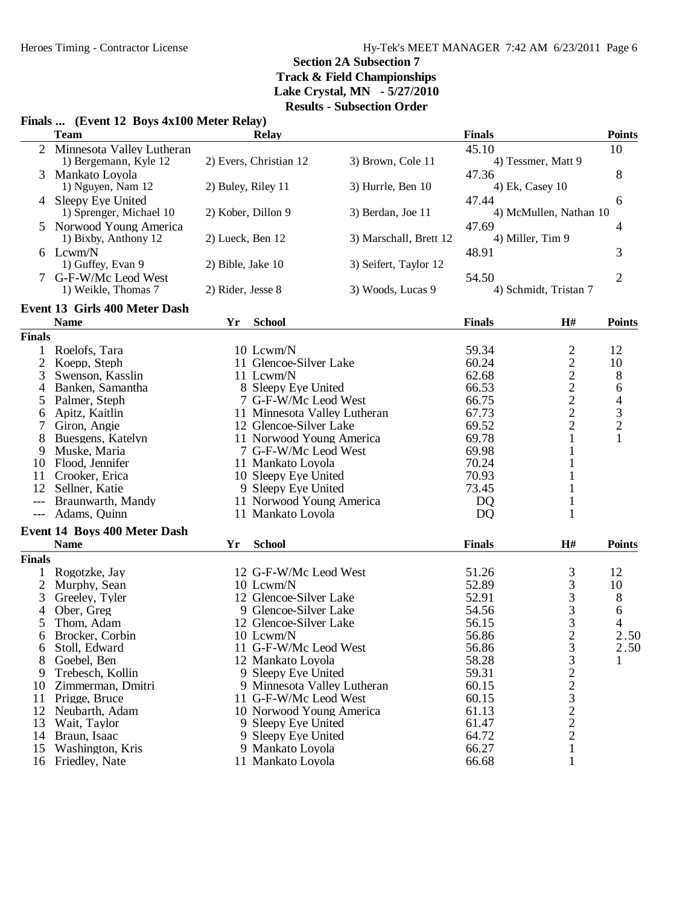#### **Finals ... (Event 12 Boys 4x100 Meter Relay)**

|               | <b>Team</b>                         |                              | <b>Relay</b>                                       |                        | <b>Finals</b>  |                                                   | <b>Points</b>                              |
|---------------|-------------------------------------|------------------------------|----------------------------------------------------|------------------------|----------------|---------------------------------------------------|--------------------------------------------|
| 2             | Minnesota Valley Lutheran           |                              |                                                    |                        | 45.10          |                                                   | 10                                         |
|               | 1) Bergemann, Kyle 12               |                              | 2) Evers, Christian 12                             | 3) Brown, Cole 11      |                | 4) Tessmer, Matt 9                                |                                            |
| 3             | Mankato Loyola                      |                              |                                                    |                        | 47.36          |                                                   | 8                                          |
|               | 1) Nguyen, Nam 12                   | 2) Buley, Riley 11           |                                                    | 3) Hurrle, Ben 10      |                | 4) Ek, Casey 10                                   |                                            |
|               | Sleepy Eye United                   |                              |                                                    |                        | 47.44          |                                                   | 6                                          |
|               | 1) Sprenger, Michael 10             | 2) Kober, Dillon 9           |                                                    | 3) Berdan, Joe 11      |                | 4) McMullen, Nathan 10                            |                                            |
|               | Norwood Young America               |                              |                                                    |                        | 47.69          |                                                   | 4                                          |
|               | 1) Bixby, Anthony 12                | 2) Lueck, Ben 12             |                                                    | 3) Marschall, Brett 12 |                | 4) Miller, Tim 9                                  |                                            |
|               | 6 Lcwm/N                            |                              |                                                    |                        | 48.91          |                                                   | 3                                          |
|               | 1) Guffey, Evan 9                   | 2) Bible, Jake 10            |                                                    | 3) Seifert, Taylor 12  |                |                                                   |                                            |
| 7             | G-F-W/Mc Leod West                  |                              |                                                    |                        | 54.50          |                                                   | $\overline{2}$                             |
|               | 1) Weikle, Thomas 7                 | 2) Rider, Jesse 8            |                                                    | 3) Woods, Lucas 9      |                | 4) Schmidt, Tristan 7                             |                                            |
|               | Event 13 Girls 400 Meter Dash       |                              |                                                    |                        |                |                                                   |                                            |
|               | <b>Name</b>                         | Yr                           | <b>School</b>                                      |                        | <b>Finals</b>  | H#                                                | <b>Points</b>                              |
| <b>Finals</b> |                                     |                              |                                                    |                        |                |                                                   |                                            |
| 1             | Roelofs, Tara                       |                              | 10 Lcwm/N                                          |                        | 59.34          |                                                   | 12                                         |
| 2             | Koepp, Steph                        |                              | 11 Glencoe-Silver Lake                             |                        | 60.24          | $\frac{2}{2}$                                     | 10                                         |
| 3             | Swenson, Kasslin                    |                              | 11 Lcwm/N                                          |                        | 62.68          |                                                   | 8                                          |
| 4             | Banken, Samantha                    |                              | 8 Sleepy Eye United                                |                        | 66.53          |                                                   | 6                                          |
| 5             | Palmer, Steph                       |                              | 7 G-F-W/Mc Leod West                               |                        | 66.75          |                                                   |                                            |
| 6             | Apitz, Kaitlin                      | 11 Minnesota Valley Lutheran |                                                    | 67.73                  |                |                                                   |                                            |
| 7             | Giron, Angie                        |                              | 12 Glencoe-Silver Lake                             |                        | 69.52          | $\begin{array}{c}\n2 \\ 2 \\ 2 \\ 2\n\end{array}$ | $\begin{array}{c} 4 \\ 3 \\ 2 \end{array}$ |
| 8             | Buesgens, Katelyn                   |                              | 11 Norwood Young America                           |                        | 69.78          | 1                                                 | $\mathbf{1}$                               |
| 9             | Muske, Maria                        |                              | 7 G-F-W/Mc Leod West                               |                        | 69.98          | 1                                                 |                                            |
| 10            | Flood, Jennifer                     |                              | 11 Mankato Loyola                                  |                        | 70.24          | 1                                                 |                                            |
| 11            | Crooker, Erica                      |                              | 10 Sleepy Eye United                               |                        | 70.93          |                                                   |                                            |
| 12            | Sellner, Katie                      |                              | 9 Sleepy Eye United                                |                        | 73.45          |                                                   |                                            |
|               | Braunwarth, Mandy                   |                              | 11 Norwood Young America                           |                        | <b>DQ</b>      | 1                                                 |                                            |
| $---$         | Adams, Quinn                        |                              | 11 Mankato Loyola                                  |                        | <b>DQ</b>      | 1                                                 |                                            |
|               | <b>Event 14 Boys 400 Meter Dash</b> |                              |                                                    |                        |                |                                                   |                                            |
|               | <b>Name</b>                         | Yr                           | <b>School</b>                                      |                        | <b>Finals</b>  | H#                                                | <b>Points</b>                              |
| <b>Finals</b> |                                     |                              |                                                    |                        |                |                                                   |                                            |
| 1             | Rogotzke, Jay                       |                              | 12 G-F-W/Mc Leod West                              |                        | 51.26          | 3                                                 | 12                                         |
| 2             | Murphy, Sean                        |                              | 10 Lcwm/N                                          |                        | 52.89          | 3                                                 | 10                                         |
| 3             | Greeley, Tyler                      |                              | 12 Glencoe-Silver Lake                             |                        | 52.91          | 3                                                 | 8                                          |
| 4             | Ober, Greg                          |                              | 9 Glencoe-Silver Lake                              |                        | 54.56          | 3                                                 | 6                                          |
| 5             | Thom, Adam                          |                              | 12 Glencoe-Silver Lake                             |                        | 56.15          | 3                                                 | $\overline{\mathcal{A}}$                   |
| 6             |                                     |                              | 10 Lcwm/N                                          |                        | 56.86          | $\overline{2}$                                    | 2.50                                       |
|               | Brocker, Corbin<br>Stoll, Edward    |                              | 11 G-F-W/Mc Leod West                              |                        | 56.86          |                                                   | 2.50                                       |
| 6<br>8        | Goebel, Ben                         |                              | 12 Mankato Loyola                                  |                        | 58.28          | 3<br>3                                            | 1                                          |
|               | Trebesch, Kollin                    |                              |                                                    |                        | 59.31          |                                                   |                                            |
| 9<br>10       |                                     |                              | 9 Sleepy Eye United<br>9 Minnesota Valley Lutheran |                        | 60.15          | $\frac{2}{3}$<br>$\frac{3}{2}$<br>$\frac{2}{2}$   |                                            |
| 11            | Zimmerman, Dmitri<br>Prigge, Bruce  |                              | 11 G-F-W/Mc Leod West                              |                        | 60.15          |                                                   |                                            |
| 12            |                                     |                              |                                                    |                        |                |                                                   |                                            |
| 13            | Neubarth, Adam                      |                              | 10 Norwood Young America                           |                        | 61.13          |                                                   |                                            |
| 14            | Wait, Taylor<br>Braun, Isaac        |                              | 9 Sleepy Eye United<br>9 Sleepy Eye United         |                        | 61.47<br>64.72 |                                                   |                                            |
|               |                                     |                              |                                                    |                        | 66.27          |                                                   |                                            |
| 15            | Washington, Kris                    |                              | 9 Mankato Loyola                                   |                        |                | $\mathbf{1}$                                      |                                            |
|               | 16 Friedley, Nate                   |                              | 11 Mankato Loyola                                  |                        | 66.68          | $\mathbf{1}$                                      |                                            |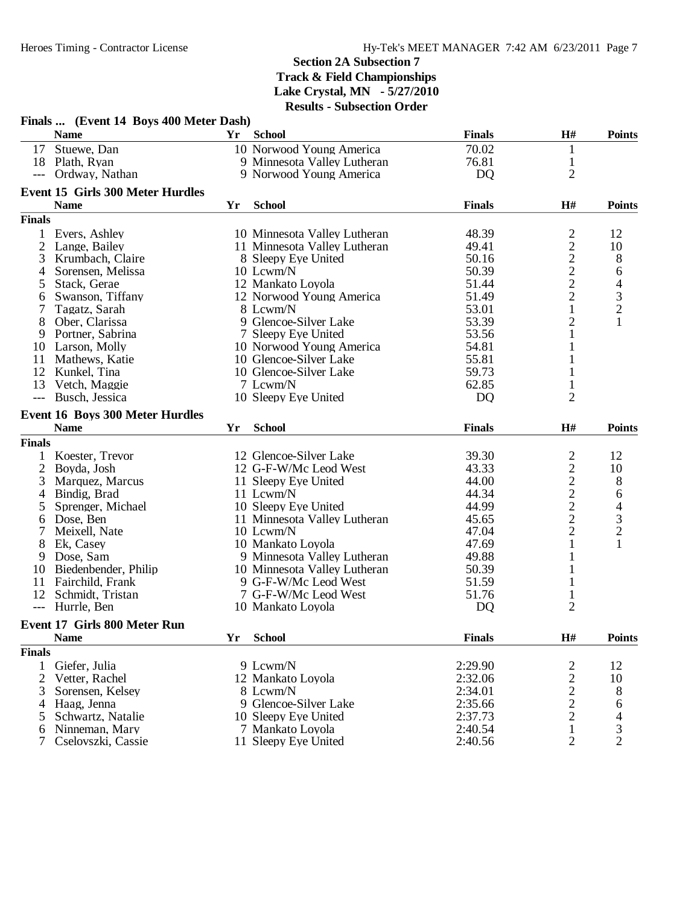|                                          | Finals  (Event 14 Boys 400 Meter Dash)  |    |                              |               |                                            |                          |
|------------------------------------------|-----------------------------------------|----|------------------------------|---------------|--------------------------------------------|--------------------------|
|                                          | <b>Name</b>                             | Yr | <b>School</b>                | <b>Finals</b> | H#                                         | <b>Points</b>            |
|                                          | 17 Stuewe, Dan                          |    | 10 Norwood Young America     | 70.02         | $\mathbf{1}$                               |                          |
|                                          | 18 Plath, Ryan                          |    | 9 Minnesota Valley Lutheran  | 76.81         | $\mathbf{1}$                               |                          |
|                                          | --- Ordway, Nathan                      |    | 9 Norwood Young America      | DQ            | $\overline{2}$                             |                          |
|                                          | <b>Event 15 Girls 300 Meter Hurdles</b> |    |                              |               |                                            |                          |
|                                          | <b>Name</b>                             | Yr | <b>School</b>                | <b>Finals</b> | H#                                         | <b>Points</b>            |
| <b>Finals</b>                            |                                         |    |                              |               |                                            |                          |
|                                          | Evers, Ashley                           |    | 10 Minnesota Valley Lutheran | 48.39         | $\frac{2}{2}$                              | 12                       |
| 2                                        | Lange, Bailey                           |    | 11 Minnesota Valley Lutheran | 49.41         |                                            | 10                       |
| 3                                        | Krumbach, Claire                        |    | 8 Sleepy Eye United          | 50.16         | $\begin{array}{c} 2 \\ 2 \\ 2 \end{array}$ | 8                        |
| 4                                        | Sorensen, Melissa                       |    | 10 Lcwm/N                    | 50.39         |                                            | 6                        |
| 5                                        | Stack, Gerae                            |    | 12 Mankato Loyola            | 51.44         |                                            | $\overline{4}$           |
| 6                                        | Swanson, Tiffany                        |    | 12 Norwood Young America     | 51.49         |                                            |                          |
| 7                                        | Tagatz, Sarah                           |    | 8 Lcwm/N                     | 53.01         | $\mathbf{1}$                               | $\frac{3}{2}$            |
| 8                                        | Ober, Clarissa                          |    | 9 Glencoe-Silver Lake        | 53.39         | $\overline{c}$                             | $\mathbf{1}$             |
| 9                                        | Portner, Sabrina                        |    | 7 Sleepy Eye United          | 53.56         | $\mathbf{1}$                               |                          |
| 10                                       | Larson, Molly                           |    | 10 Norwood Young America     | 54.81         | 1                                          |                          |
| 11                                       | Mathews, Katie                          |    | 10 Glencoe-Silver Lake       | 55.81         | 1                                          |                          |
| 12                                       | Kunkel, Tina                            |    | 10 Glencoe-Silver Lake       | 59.73         | 1                                          |                          |
| 13                                       | Vetch, Maggie                           |    | 7 Lcwm/N                     | 62.85         | $\mathbf{1}$                               |                          |
| $\qquad \qquad -1$                       | Busch, Jessica                          |    | 10 Sleepy Eye United         | DQ            | $\overline{2}$                             |                          |
|                                          |                                         |    |                              |               |                                            |                          |
|                                          | <b>Event 16 Boys 300 Meter Hurdles</b>  |    |                              |               |                                            |                          |
|                                          | <b>Name</b>                             | Yr | <b>School</b>                | <b>Finals</b> | H#                                         | <b>Points</b>            |
| <b>Finals</b>                            |                                         |    |                              |               |                                            |                          |
|                                          | 1 Koester, Trevor                       |    | 12 Glencoe-Silver Lake       | 39.30         | $\overline{c}$                             | 12                       |
| $\overline{2}$                           | Boyda, Josh                             |    | 12 G-F-W/Mc Leod West        | 43.33         |                                            | 10                       |
| 3                                        | Marquez, Marcus                         |    | 11 Sleepy Eye United         | 44.00         | $2222$<br>$222$                            | 8                        |
| 4                                        | Bindig, Brad                            |    | 11 Lcwm/N                    | 44.34         |                                            | 6                        |
| 5                                        | Sprenger, Michael                       |    | 10 Sleepy Eye United         | 44.99         |                                            | $\overline{\mathcal{A}}$ |
| 6                                        | Dose, Ben                               |    | 11 Minnesota Valley Lutheran | 45.65         |                                            |                          |
| 7                                        | Meixell, Nate                           |    | 10 Lcwm/N                    | 47.04         |                                            | $\frac{3}{2}$            |
| 8                                        | Ek, Casey                               |    | 10 Mankato Loyola            | 47.69         | $\mathbf{1}$                               | $\mathbf{1}$             |
| 9                                        | Dose, Sam                               |    | 9 Minnesota Valley Lutheran  | 49.88         | 1                                          |                          |
|                                          | 10 Biedenbender, Philip                 |    | 10 Minnesota Valley Lutheran | 50.39         | $\mathbf{1}$                               |                          |
| 11                                       | Fairchild, Frank                        |    | 9 G-F-W/Mc Leod West         | 51.59         | $\mathbf{1}$                               |                          |
| 12                                       | Schmidt, Tristan                        |    | 7 G-F-W/Mc Leod West         | 51.76         | $\mathbf{1}$                               |                          |
| $\hspace{0.05cm} \ldots \hspace{0.05cm}$ | Hurrle, Ben                             |    | 10 Mankato Loyola            | DQ            | $\overline{2}$                             |                          |
|                                          | Event 17 Girls 800 Meter Run            |    |                              |               |                                            |                          |
|                                          | <b>Name</b>                             | Yr | <b>School</b>                | <b>Finals</b> | H#                                         | <b>Points</b>            |
| <b>Finals</b>                            |                                         |    |                              |               |                                            |                          |
| 1                                        | Giefer, Julia                           |    | 9 Lcwm/N                     | 2:29.90       | $\overline{c}$                             | 12                       |
| $\overline{2}$                           | Vetter, Rachel                          |    | 12 Mankato Loyola            | 2:32.06       |                                            | 10                       |
| 3                                        | Sorensen, Kelsey                        |    | 8 Lcwm/N                     | 2:34.01       | $\frac{2}{2}$                              |                          |
|                                          |                                         |    | 9 Glencoe-Silver Lake        | 2:35.66       |                                            | 8                        |
| 4                                        | Haag, Jenna                             |    | 10 Sleepy Eye United         | 2:37.73       | $\frac{2}{2}$                              | 6                        |
| 5                                        | Schwartz, Natalie                       |    |                              |               |                                            | 4                        |
| 6                                        | Ninneman, Mary                          |    | 7 Mankato Loyola             | 2:40.54       | $\mathbf{1}$                               | 3                        |
| 7                                        | Cselovszki, Cassie                      |    | 11 Sleepy Eye United         | 2:40.56       | $\mathbf{2}$                               | $\overline{2}$           |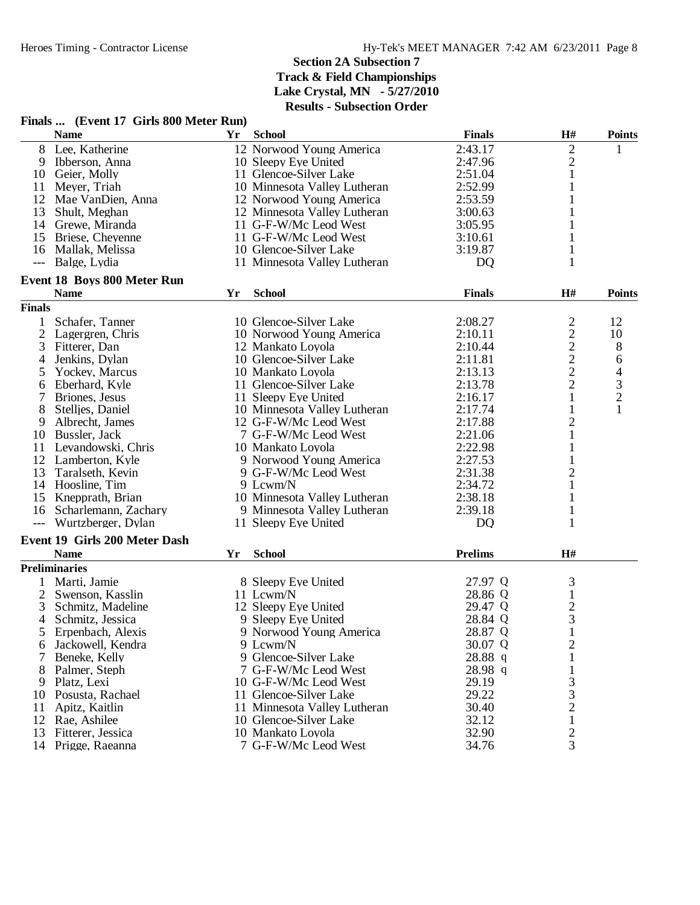|                | Finals  (Event 17 Girls 800 Meter Run) |    |                              |                |                         |                |
|----------------|----------------------------------------|----|------------------------------|----------------|-------------------------|----------------|
|                | <b>Name</b>                            | Yr | <b>School</b>                | <b>Finals</b>  | H#                      | <b>Points</b>  |
|                | 8 Lee, Katherine                       |    | 12 Norwood Young America     | 2:43.17        | 2                       | 1              |
| 9              | Ibberson, Anna                         |    | 10 Sleepy Eye United         | 2:47.96        | $\overline{c}$          |                |
| 10             | Geier, Molly                           |    | 11 Glencoe-Silver Lake       | 2:51.04        | 1                       |                |
| 11             | Meyer, Triah                           |    | 10 Minnesota Valley Lutheran | 2:52.99        | $\mathbf{1}$            |                |
| 12             | Mae VanDien, Anna                      |    | 12 Norwood Young America     | 2:53.59        | 1                       |                |
| 13             | Shult, Meghan                          |    | 12 Minnesota Valley Lutheran | 3:00.63        | 1                       |                |
|                | 14 Grewe, Miranda                      |    | 11 G-F-W/Mc Leod West        | 3:05.95        | 1                       |                |
| 15             | Briese, Cheyenne                       |    | 11 G-F-W/Mc Leod West        | 3:10.61        | 1                       |                |
| 16             | Mallak, Melissa                        |    | 10 Glencoe-Silver Lake       | 3:19.87        |                         |                |
| $---$          | Balge, Lydia                           |    | 11 Minnesota Valley Lutheran | DQ             | 1                       |                |
|                | <b>Event 18 Boys 800 Meter Run</b>     |    |                              |                |                         |                |
|                | <b>Name</b>                            | Yr | <b>School</b>                | <b>Finals</b>  | H#                      | <b>Points</b>  |
| <b>Finals</b>  |                                        |    |                              |                |                         |                |
| 1              | Schafer, Tanner                        |    | 10 Glencoe-Silver Lake       | 2:08.27        | $\overline{2}$          | 12             |
| $\overline{2}$ | Lagergren, Chris                       |    | 10 Norwood Young America     | 2:10.11        | $\overline{c}$          | 10             |
| 3              | Fitterer, Dan                          |    | 12 Mankato Loyola            | 2:10.44        | $\frac{2}{2}$           | 8              |
| 4              | Jenkins, Dylan                         |    | 10 Glencoe-Silver Lake       | 2:11.81        |                         | 6              |
| 5              | Yockey, Marcus                         |    | 10 Mankato Loyola            | 2:13.13        | $\overline{2}$          | 4              |
| 6              | Eberhard, Kyle                         |    | 11 Glencoe-Silver Lake       | 2:13.78        | $\overline{c}$          | $\mathfrak{Z}$ |
| 7              | Briones, Jesus                         |    | 11 Sleepy Eye United         | 2:16.17        | $\mathbf{1}$            | $\overline{c}$ |
| 8              | Stellies, Daniel                       |    | 10 Minnesota Valley Lutheran | 2:17.74        | $\mathbf{1}$            | $\mathbf{1}$   |
| 9              | Albrecht, James                        |    | 12 G-F-W/Mc Leod West        | 2:17.88        | $\overline{\mathbf{c}}$ |                |
| 10             | Bussler, Jack                          |    | 7 G-F-W/Mc Leod West         | 2:21.06        | $\mathbf{1}$            |                |
| 11             | Levandowski, Chris                     |    | 10 Mankato Loyola            | 2:22.98        | $\mathbf{1}$            |                |
| 12             | Lamberton, Kyle                        |    | 9 Norwood Young America      | 2:27.53        | $\mathbf{1}$            |                |
| 13             | Taralseth, Kevin                       |    | 9 G-F-W/Mc Leod West         | 2:31.38        | $\overline{c}$          |                |
|                | 14 Hoosline, Tim                       |    | 9 Lcwm/N                     | 2:34.72        | $\mathbf{1}$            |                |
| 15             | Knepprath, Brian                       |    | 10 Minnesota Valley Lutheran | 2:38.18        | 1                       |                |
| 16             | Scharlemann, Zachary                   |    | 9 Minnesota Valley Lutheran  | 2:39.18        |                         |                |
| $---$          | Wurtzberger, Dylan                     |    | 11 Sleepy Eye United         | DQ             | 1                       |                |
|                | Event 19 Girls 200 Meter Dash          |    |                              |                |                         |                |
|                | <b>Name</b>                            | Yr | <b>School</b>                | <b>Prelims</b> | H#                      |                |
|                | <b>Preliminaries</b>                   |    |                              |                |                         |                |
|                | Marti, Jamie                           |    | 8 Sleepy Eye United          | 27.97 Q        | 3                       |                |
| $\overline{2}$ | Swenson, Kasslin                       |    | 11 Lcwm/N                    | 28.86 Q        | $\mathbf{1}$            |                |
| 3              | Schmitz, Madeline                      |    | 12 Sleepy Eye United         | 29.47 Q        | $rac{2}{3}$             |                |
| 4              | Schmitz, Jessica                       |    | 9 Sleepy Eye United          | 28.84 Q        |                         |                |
| C              | Erpenbach, Alexis                      |    | 9 Norwood Young America      | 28.87 Q        | $\mathbf{I}$            |                |
| 6              | Jackowell, Kendra                      |    | 9 Lcwm/N                     | 30.07 Q        | $\overline{c}$          |                |
|                | Beneke, Kelly                          |    | 9 Glencoe-Silver Lake        | 28.88 q        | 1                       |                |
| 8              | Palmer, Steph                          |    | 7 G-F-W/Mc Leod West         | 28.98 q        | 1                       |                |
| 9              | Platz, Lexi                            |    | 10 G-F-W/Mc Leod West        | 29.19          | 3                       |                |
| 10             | Posusta, Rachael                       |    | 11 Glencoe-Silver Lake       | 29.22          | 3                       |                |
| 11             | Apitz, Kaitlin                         |    | 11 Minnesota Valley Lutheran | 30.40          | $\overline{2}$          |                |
| 12             | Rae, Ashilee                           |    | 10 Glencoe-Silver Lake       | 32.12          | $\mathbf{1}$            |                |
| 13             | Fitterer, Jessica                      |    | 10 Mankato Loyola            | 32.90          | $\overline{2}$          |                |
|                | 14 Prigge, Raeanna                     |    | 7 G-F-W/Mc Leod West         | 34.76          | $\overline{3}$          |                |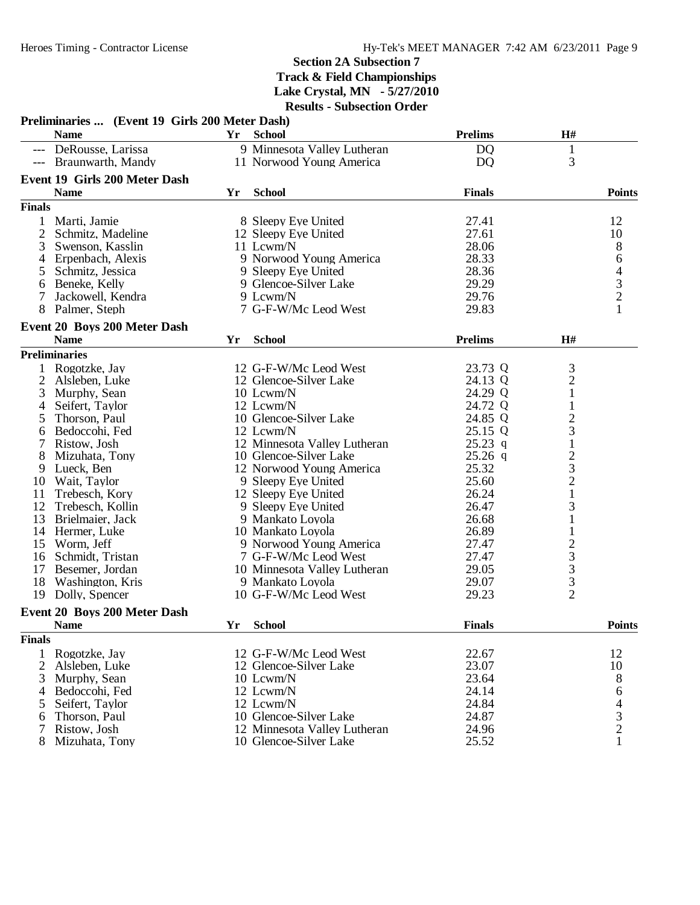|                | Preliminaries  (Event 19 Girls 200 Meter Dash) |    |                              |                |                                                 |                                            |
|----------------|------------------------------------------------|----|------------------------------|----------------|-------------------------------------------------|--------------------------------------------|
|                | <b>Name</b>                                    | Yr | <b>School</b>                | <b>Prelims</b> | $\mathbf{H}$ #                                  |                                            |
|                | --- DeRousse, Larissa                          |    | 9 Minnesota Valley Lutheran  | D <sub>Q</sub> | $\mathbf{1}$                                    |                                            |
|                | --- Braunwarth, Mandy                          |    | 11 Norwood Young America     | D <sub>Q</sub> | 3                                               |                                            |
|                | Event 19 Girls 200 Meter Dash                  |    |                              |                |                                                 |                                            |
|                | <b>Name</b>                                    | Yr | <b>School</b>                | <b>Finals</b>  |                                                 | <b>Points</b>                              |
| <b>Finals</b>  |                                                |    |                              |                |                                                 |                                            |
|                | 1 Marti, Jamie                                 |    | 8 Sleepy Eye United          | 27.41          |                                                 | 12                                         |
| 2              | Schmitz, Madeline                              |    | 12 Sleepy Eye United         | 27.61          |                                                 | 10                                         |
| 3              | Swenson, Kasslin                               |    | 11 Lcwm/N                    | 28.06          |                                                 | 8                                          |
| $\overline{4}$ | Erpenbach, Alexis                              |    | 9 Norwood Young America      | 28.33          |                                                 | 6                                          |
| 5              | Schmitz, Jessica                               |    | 9 Sleepy Eye United          | 28.36          |                                                 |                                            |
| 6              | Beneke, Kelly                                  |    | 9 Glencoe-Silver Lake        | 29.29          |                                                 |                                            |
| 7              | Jackowell, Kendra                              |    | 9 Lcwm/N                     | 29.76          |                                                 | $\frac{4}{3}$                              |
| 8              | Palmer, Steph                                  |    | 7 G-F-W/Mc Leod West         | 29.83          |                                                 | $\mathbf{1}$                               |
|                | Event 20 Boys 200 Meter Dash                   |    |                              |                |                                                 |                                            |
|                | <b>Name</b>                                    | Yr | <b>School</b>                | <b>Prelims</b> | H#                                              |                                            |
|                | <b>Preliminaries</b>                           |    |                              |                |                                                 |                                            |
|                | Rogotzke, Jay                                  |    | 12 G-F-W/Mc Leod West        | 23.73 Q        | 3                                               |                                            |
| $\overline{2}$ | Alsleben, Luke                                 |    | 12 Glencoe-Silver Lake       | 24.13 Q        |                                                 |                                            |
| 3              | Murphy, Sean                                   |    | 10 Lcwm/N                    | 24.29 Q        | $\frac{2}{1}$                                   |                                            |
| 4              | Seifert, Taylor                                |    | 12 Lcwm/N                    | 24.72 Q        | $\mathbf{1}$                                    |                                            |
| 5              | Thorson, Paul                                  |    | 10 Glencoe-Silver Lake       | 24.85 Q        |                                                 |                                            |
| 6              | Bedoccohi, Fed                                 |    | 12 Lcwm/N                    | 25.15 Q        | $\frac{2}{3}$                                   |                                            |
|                | Ristow, Josh                                   |    | 12 Minnesota Valley Lutheran | $25.23$ q      | $\,1$                                           |                                            |
| 8              | Mizuhata, Tony                                 |    | 10 Glencoe-Silver Lake       | $25.26$ q      |                                                 |                                            |
| 9              | Lueck, Ben                                     |    | 12 Norwood Young America     | 25.32          | $\begin{array}{c} 2 \\ 3 \\ 2 \\ 1 \end{array}$ |                                            |
| 10             | Wait, Taylor                                   |    | 9 Sleepy Eye United          | 25.60          |                                                 |                                            |
| 11             | Trebesch, Kory                                 |    | 12 Sleepy Eye United         | 26.24          |                                                 |                                            |
| 12             | Trebesch, Kollin                               |    | 9 Sleepy Eye United          | 26.47          | 3                                               |                                            |
| 13             | Brielmaier, Jack                               |    | 9 Mankato Loyola             | 26.68          | $\mathbf{1}$                                    |                                            |
| 14             | Hermer, Luke                                   |    | 10 Mankato Loyola            | 26.89          | $\mathbf{1}$                                    |                                            |
| 15             | Worm, Jeff                                     |    | 9 Norwood Young America      | 27.47          |                                                 |                                            |
| 16             | Schmidt, Tristan                               |    | 7 G-F-W/Mc Leod West         | 27.47          |                                                 |                                            |
| 17             | Besemer, Jordan                                |    | 10 Minnesota Valley Lutheran | 29.05          |                                                 |                                            |
| 18             | Washington, Kris                               |    | 9 Mankato Loyola             | 29.07          | $\begin{array}{c}\n23 \\ 33 \\ 2\n\end{array}$  |                                            |
| 19             | Dolly, Spencer                                 |    | 10 G-F-W/Mc Leod West        | 29.23          |                                                 |                                            |
|                | Event 20 Boys 200 Meter Dash                   |    |                              |                |                                                 |                                            |
|                | <b>Name</b>                                    |    | Yr School                    | <b>Finals</b>  |                                                 | <b>Points</b>                              |
| <b>Finals</b>  |                                                |    |                              |                |                                                 |                                            |
| $\mathbf{1}$   | Rogotzke, Jay                                  |    | 12 G-F-W/Mc Leod West        | 22.67          |                                                 | 12                                         |
| 2              | Alsleben, Luke                                 |    | 12 Glencoe-Silver Lake       | 23.07          |                                                 | 10                                         |
| 3              | Murphy, Sean                                   |    | 10 Lcwm/N                    | 23.64          |                                                 | 8                                          |
| 4              | Bedoccohi, Fed                                 |    | 12 Lcwm/N                    | 24.14          |                                                 | 6                                          |
| 5              | Seifert, Taylor                                |    | 12 Lcwm/N                    | 24.84          |                                                 |                                            |
| 6              | Thorson, Paul                                  |    | 10 Glencoe-Silver Lake       | 24.87          |                                                 |                                            |
| 7              | Ristow, Josh                                   |    | 12 Minnesota Valley Lutheran | 24.96          |                                                 | $\begin{array}{c} 4 \\ 3 \\ 2 \end{array}$ |
| 8              | Mizuhata, Tony                                 |    | 10 Glencoe-Silver Lake       | 25.52          |                                                 | 1                                          |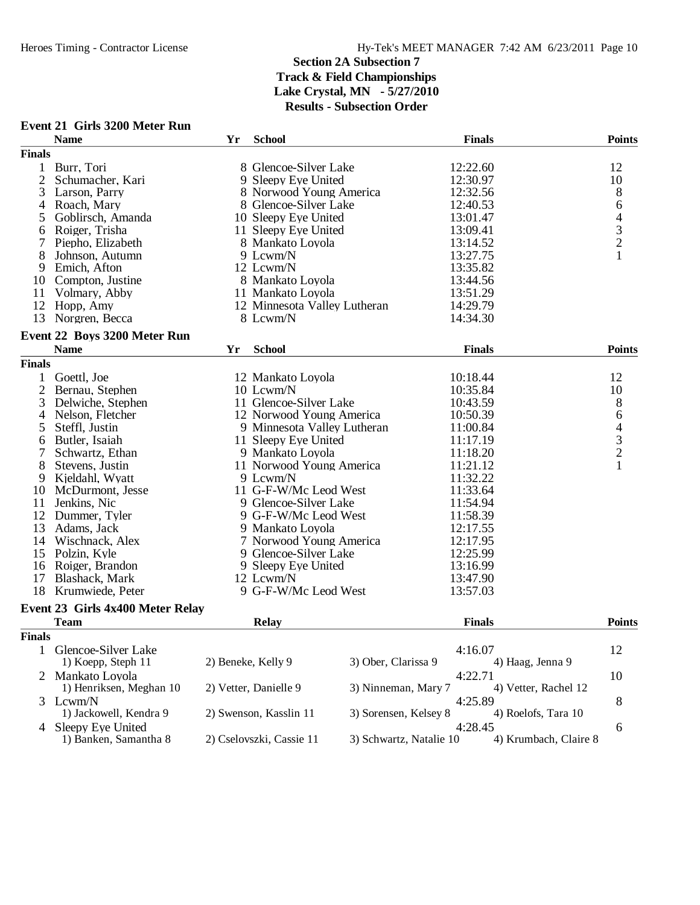|                | <b>Event 21 Girls 3200 Meter Run</b> |                    |                              |                         |               |                       |                                            |
|----------------|--------------------------------------|--------------------|------------------------------|-------------------------|---------------|-----------------------|--------------------------------------------|
|                | <b>Name</b>                          | Yr                 | <b>School</b>                |                         | <b>Finals</b> |                       | <b>Points</b>                              |
| <b>Finals</b>  |                                      |                    |                              |                         |               |                       |                                            |
| 1              | Burr, Tori                           |                    | 8 Glencoe-Silver Lake        |                         | 12:22.60      |                       | 12                                         |
| $\overline{2}$ | Schumacher, Kari                     |                    | 9 Sleepy Eye United          |                         | 12:30.97      |                       | 10                                         |
| 3              | Larson, Parry                        |                    | 8 Norwood Young America      |                         | 12:32.56      |                       | 8                                          |
| 4              | Roach, Mary                          |                    | 8 Glencoe-Silver Lake        |                         | 12:40.53      |                       | 6                                          |
| 5              | Goblirsch, Amanda                    |                    | 10 Sleepy Eye United         |                         | 13:01.47      |                       |                                            |
| 6              | Roiger, Trisha                       |                    | 11 Sleepy Eye United         |                         | 13:09.41      |                       | $\frac{4}{3}$                              |
| 7              | Piepho, Elizabeth                    |                    | 8 Mankato Loyola             |                         | 13:14.52      |                       |                                            |
| 8              | Johnson, Autumn                      |                    | 9 Lcwm/N                     |                         | 13:27.75      |                       | $\mathbf{1}$                               |
| 9              | Emich, Afton                         |                    | 12 Lcwm/N                    |                         | 13:35.82      |                       |                                            |
| 10             | Compton, Justine                     |                    | 8 Mankato Loyola             |                         | 13:44.56      |                       |                                            |
| 11             | Volmary, Abby                        |                    | 11 Mankato Loyola            |                         | 13:51.29      |                       |                                            |
| 12             | Hopp, Amy                            |                    | 12 Minnesota Valley Lutheran |                         | 14:29.79      |                       |                                            |
| 13             | Norgren, Becca                       |                    | 8 Lcwm/N                     |                         | 14:34.30      |                       |                                            |
|                |                                      |                    |                              |                         |               |                       |                                            |
|                | Event 22 Boys 3200 Meter Run         |                    |                              |                         |               |                       |                                            |
|                | <b>Name</b>                          | Yr                 | <b>School</b>                |                         | <b>Finals</b> |                       | <b>Points</b>                              |
| <b>Finals</b>  |                                      |                    |                              |                         |               |                       |                                            |
| 1              | Goettl, Joe                          |                    | 12 Mankato Loyola            |                         | 10:18.44      |                       | 12                                         |
| $\overline{2}$ | Bernau, Stephen                      |                    | 10 Lcwm/N                    |                         | 10:35.84      |                       | 10                                         |
| 3              | Delwiche, Stephen                    |                    | 11 Glencoe-Silver Lake       |                         | 10:43.59      |                       | $8\,$                                      |
| 4              | Nelson, Fletcher                     |                    | 12 Norwood Young America     |                         | 10:50.39      |                       | 6                                          |
| 5              | Steffl, Justin                       |                    | 9 Minnesota Valley Lutheran  |                         | 11:00.84      |                       |                                            |
| 6              | Butler, Isaiah                       |                    | 11 Sleepy Eye United         |                         | 11:17.19      |                       | $\begin{array}{c} 4 \\ 3 \\ 2 \end{array}$ |
| 7              | Schwartz, Ethan                      |                    | 9 Mankato Loyola             |                         | 11:18.20      |                       |                                            |
| 8              | Stevens, Justin                      |                    | 11 Norwood Young America     |                         | 11:21.12      |                       | $\mathbf{1}$                               |
| 9              | Kjeldahl, Wyatt                      |                    | 9 Lcwm/N                     |                         | 11:32.22      |                       |                                            |
| 10             | McDurmont, Jesse                     |                    | 11 G-F-W/Mc Leod West        |                         | 11:33.64      |                       |                                            |
| 11             | Jenkins, Nic                         |                    | 9 Glencoe-Silver Lake        |                         | 11:54.94      |                       |                                            |
| 12             | Dummer, Tyler                        |                    | 9 G-F-W/Mc Leod West         |                         | 11:58.39      |                       |                                            |
| 13             | Adams, Jack                          |                    | 9 Mankato Loyola             |                         | 12:17.55      |                       |                                            |
| 14             | Wischnack, Alex                      |                    | 7 Norwood Young America      |                         | 12:17.95      |                       |                                            |
| 15             | Polzin, Kyle                         |                    | 9 Glencoe-Silver Lake        |                         | 12:25.99      |                       |                                            |
| 16             | Roiger, Brandon                      |                    | 9 Sleepy Eye United          |                         | 13:16.99      |                       |                                            |
| 17             | Blashack, Mark                       |                    | 12 Lcwm/N                    |                         | 13:47.90      |                       |                                            |
| 18             | Krumwiede, Peter                     |                    | 9 G-F-W/Mc Leod West         |                         | 13:57.03      |                       |                                            |
|                |                                      |                    |                              |                         |               |                       |                                            |
|                | Event 23 Girls 4x400 Meter Relay     |                    |                              |                         |               |                       |                                            |
|                | <b>Team</b>                          |                    | <b>Relay</b>                 |                         | <b>Finals</b> |                       | <b>Points</b>                              |
| <b>Finals</b>  |                                      |                    |                              |                         |               |                       |                                            |
| $\mathbf{1}$   | Glencoe-Silver Lake                  |                    |                              |                         | 4:16.07       |                       | 12                                         |
|                | 1) Koepp, Steph 11                   | 2) Beneke, Kelly 9 |                              | 3) Ober, Clarissa 9     |               | 4) Haag, Jenna 9      |                                            |
|                | 2 Mankato Loyola                     |                    |                              |                         | 4:22.71       |                       | 10                                         |
|                | 1) Henriksen, Meghan 10              |                    | 2) Vetter, Danielle 9        | 3) Ninneman, Mary 7     |               | 4) Vetter, Rachel 12  |                                            |
|                | 3 Lcwm/N                             |                    |                              |                         | 4:25.89       |                       | 8                                          |
|                | 1) Jackowell, Kendra 9               |                    | 2) Swenson, Kasslin 11       | 3) Sorensen, Kelsey 8   |               | 4) Roelofs, Tara 10   |                                            |
| 4              | Sleepy Eye United                    |                    |                              |                         | 4:28.45       |                       | 6                                          |
|                | 1) Banken, Samantha 8                |                    | 2) Cselovszki, Cassie 11     | 3) Schwartz, Natalie 10 |               | 4) Krumbach, Claire 8 |                                            |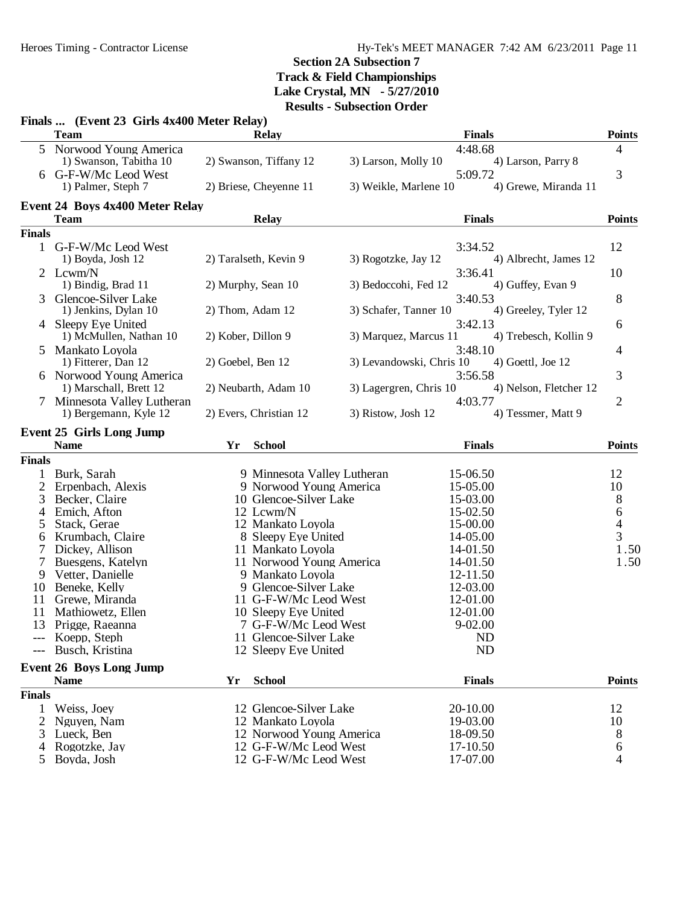# **Section 2A Subsection 7 Track & Field Championships**

**Lake Crystal, MN - 5/27/2010**

**Results - Subsection Order**

|                | Finals  (Event 23 Girls 4x400 Meter Relay)           |                    |                                                |                          |                        |                        |                  |
|----------------|------------------------------------------------------|--------------------|------------------------------------------------|--------------------------|------------------------|------------------------|------------------|
|                | <b>Team</b>                                          |                    | Relay                                          |                          | <b>Finals</b>          |                        | <b>Points</b>    |
|                | 5 Norwood Young America<br>1) Swanson, Tabitha 10    |                    | 2) Swanson, Tiffany 12                         | 3) Larson, Molly 10      | 4:48.68                | 4) Larson, Parry 8     | 4                |
|                | 6 G-F-W/Mc Leod West<br>1) Palmer, Steph 7           |                    | 2) Briese, Cheyenne 11                         | 3) Weikle, Marlene 10    | 5:09.72                | 4) Grewe, Miranda 11   | 3                |
|                | <b>Event 24 Boys 4x400 Meter Relay</b>               |                    |                                                |                          |                        |                        |                  |
|                | <b>Team</b>                                          |                    | <b>Relay</b>                                   |                          | <b>Finals</b>          |                        | <b>Points</b>    |
| <b>Finals</b>  |                                                      |                    |                                                |                          |                        |                        |                  |
|                | 1 G-F-W/Mc Leod West<br>1) Boyda, Josh 12            |                    | 2) Taralseth, Kevin 9                          | 3) Rogotzke, Jay 12      | 3:34.52                | 4) Albrecht, James 12  | 12               |
|                | 2 Lcwm/N<br>1) Bindig, Brad 11                       |                    | 2) Murphy, Sean 10                             | 3) Bedoccohi, Fed 12     | 3:36.41                | 4) Guffey, Evan 9      | 10               |
| 3              | Glencoe-Silver Lake<br>1) Jenkins, Dylan 10          | 2) Thom, Adam 12   |                                                | 3) Schafer, Tanner 10    | 3:40.53                | 4) Greeley, Tyler 12   | 8                |
|                | 4 Sleepy Eye United<br>1) McMullen, Nathan 10        | 2) Kober, Dillon 9 |                                                | 3) Marquez, Marcus 11    | 3:42.13                | 4) Trebesch, Kollin 9  | 6                |
| 5              | Mankato Loyola<br>1) Fitterer, Dan 12                | 2) Goebel, Ben 12  |                                                | 3) Levandowski, Chris 10 | 3:48.10                | 4) Goettl, Joe 12      | 4                |
|                | 6 Norwood Young America<br>1) Marschall, Brett 12    |                    | 2) Neubarth, Adam 10                           | 3) Lagergren, Chris 10   | 3:56.58                | 4) Nelson, Fletcher 12 | 3                |
|                | 7 Minnesota Valley Lutheran<br>1) Bergemann, Kyle 12 |                    | 2) Evers, Christian 12                         | 3) Ristow, Josh 12       | 4:03.77                | 4) Tessmer, Matt 9     | $\overline{2}$   |
|                | Event 25 Girls Long Jump                             |                    |                                                |                          |                        |                        |                  |
|                | <b>Name</b>                                          | Yr                 | <b>School</b>                                  |                          | <b>Finals</b>          |                        | <b>Points</b>    |
| <b>Finals</b>  |                                                      |                    |                                                |                          |                        |                        |                  |
|                | Burk, Sarah                                          |                    | 9 Minnesota Valley Lutheran                    |                          | 15-06.50               |                        | 12               |
| $\overline{2}$ | Erpenbach, Alexis                                    |                    | 9 Norwood Young America                        |                          | 15-05.00               |                        | 10               |
| 3              | Becker, Claire                                       |                    | 10 Glencoe-Silver Lake                         |                          | 15-03.00               |                        | $\boldsymbol{8}$ |
| $\overline{4}$ | Emich, Afton                                         |                    | 12 Lcwm/N                                      |                          | 15-02.50               |                        | $\boldsymbol{6}$ |
| 5              | Stack, Gerae                                         |                    | 12 Mankato Loyola                              |                          | 15-00.00               |                        | $\overline{4}$   |
| 6              | Krumbach, Claire                                     |                    | 8 Sleepy Eye United                            |                          | 14-05.00               |                        | $\overline{3}$   |
| 7              | Dickey, Allison                                      |                    | 11 Mankato Loyola                              |                          | 14-01.50               |                        | 1.50             |
| 7              | Buesgens, Katelyn                                    |                    | 11 Norwood Young America                       |                          | 14-01.50               |                        | 1.50             |
| 9              | Vetter, Danielle                                     |                    | 9 Mankato Loyola                               |                          | 12-11.50               |                        |                  |
| 10             | Beneke, Kelly                                        |                    | 9 Glencoe-Silver Lake                          |                          | 12-03.00               |                        |                  |
| 11             | Grewe, Miranda                                       |                    | 11 G-F-W/Mc Leod West                          |                          | 12-01.00               |                        |                  |
| 11             | Mathiowetz, Ellen                                    |                    | 10 Sleepy Eye United                           |                          | 12-01.00               |                        |                  |
| 13             | Prigge, Raeanna                                      |                    | 7 G-F-W/Mc Leod West                           |                          | $9 - 02.00$            |                        |                  |
| $---$          | Koepp, Steph<br>Busch, Kristina                      |                    | 11 Glencoe-Silver Lake<br>12 Sleepy Eye United |                          | <b>ND</b><br><b>ND</b> |                        |                  |
|                | <b>Event 26 Boys Long Jump</b>                       |                    |                                                |                          |                        |                        |                  |
|                | <b>Name</b>                                          | Yr                 | <b>School</b>                                  |                          | <b>Finals</b>          |                        | <b>Points</b>    |
| <b>Finals</b>  |                                                      |                    |                                                |                          |                        |                        |                  |
| 1              | Weiss, Joey                                          |                    | 12 Glencoe-Silver Lake                         |                          | 20-10.00               |                        | 12               |
| 2              | Nguyen, Nam                                          |                    | 12 Mankato Loyola                              |                          | 19-03.00               |                        | 10               |
| 3              | Lueck, Ben                                           |                    | 12 Norwood Young America                       |                          | 18-09.50               |                        | 8                |
| 4              | Rogotzke, Jay                                        |                    | 12 G-F-W/Mc Leod West                          |                          | 17-10.50               |                        | 6                |
| 5              | Boyda, Josh                                          |                    | 12 G-F-W/Mc Leod West                          |                          | 17-07.00               |                        | 4                |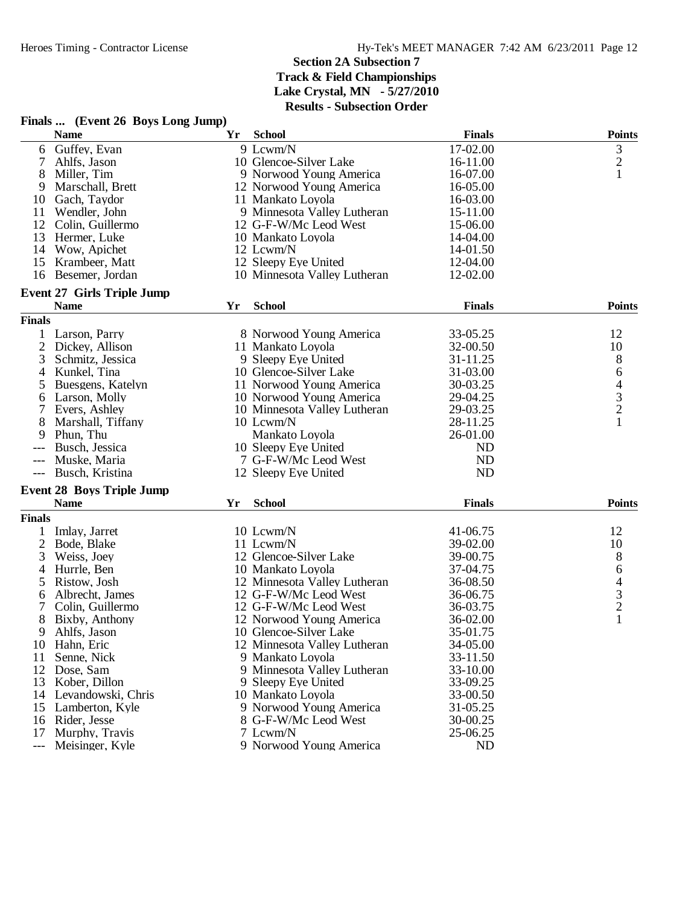|               | Finals  (Event 26 Boys Long Jump)               |    |                              |               |                |
|---------------|-------------------------------------------------|----|------------------------------|---------------|----------------|
|               | <b>Name</b>                                     | Yr | <b>School</b>                | <b>Finals</b> | <b>Points</b>  |
| 6             | Guffey, Evan                                    |    | 9 Lcwm/N                     | 17-02.00      | 3              |
|               | Ahlfs, Jason                                    |    | 10 Glencoe-Silver Lake       | 16-11.00      | $\frac{2}{1}$  |
| 8             | Miller, Tim                                     |    | 9 Norwood Young America      | 16-07.00      |                |
| 9             | Marschall, Brett                                |    | 12 Norwood Young America     | 16-05.00      |                |
| 10            | Gach, Taydor                                    |    | 11 Mankato Loyola            | 16-03.00      |                |
| 11            | Wendler, John                                   |    | 9 Minnesota Valley Lutheran  | 15-11.00      |                |
| 12            | Colin, Guillermo                                |    | 12 G-F-W/Mc Leod West        | 15-06.00      |                |
| 13            | Hermer, Luke                                    |    | 10 Mankato Loyola            | 14-04.00      |                |
| 14            | Wow, Apichet                                    |    | 12 Lcwm/N                    | 14-01.50      |                |
| 15            | Krambeer, Matt                                  |    | 12 Sleepy Eye United         | 12-04.00      |                |
|               | 16 Besemer, Jordan                              |    | 10 Minnesota Valley Lutheran | 12-02.00      |                |
|               | <b>Event 27 Girls Triple Jump</b>               |    |                              |               |                |
|               | <b>Name</b>                                     | Yr | <b>School</b>                | <b>Finals</b> | <b>Points</b>  |
| <b>Finals</b> |                                                 |    |                              |               |                |
|               | 1 Larson, Parry                                 |    | 8 Norwood Young America      | 33-05.25      | 12             |
| 2             | Dickey, Allison                                 |    | 11 Mankato Loyola            | 32-00.50      | 10             |
| 3             | Schmitz, Jessica                                |    | 9 Sleepy Eye United          | 31-11.25      | $8\phantom{1}$ |
| 4             | Kunkel, Tina                                    |    | 10 Glencoe-Silver Lake       | 31-03.00      | 6              |
| 5             | Buesgens, Katelyn                               |    | 11 Norwood Young America     | 30-03.25      | 4              |
| 6             | Larson, Molly                                   |    | 10 Norwood Young America     | 29-04.25      |                |
| 7             | Evers, Ashley                                   |    | 10 Minnesota Valley Lutheran | 29-03.25      | $\frac{3}{2}$  |
| 8             | Marshall, Tiffany                               |    | 10 Lcwm/N                    | 28-11.25      | 1              |
| 9             | Phun, Thu                                       |    | Mankato Loyola               | 26-01.00      |                |
|               | Busch, Jessica                                  |    | 10 Sleepy Eye United         | ND            |                |
| ---           | Muske, Maria                                    |    | 7 G-F-W/Mc Leod West         | <b>ND</b>     |                |
| $---$         | Busch, Kristina                                 |    | 12 Sleepy Eye United         | ND            |                |
|               |                                                 |    |                              |               |                |
|               | <b>Event 28 Boys Triple Jump</b><br><b>Name</b> | Yr | <b>School</b>                | <b>Finals</b> | <b>Points</b>  |
|               |                                                 |    |                              |               |                |
| <b>Finals</b> |                                                 |    |                              |               |                |
|               | Imlay, Jarret                                   |    | 10 Lcwm/N                    | 41-06.75      | 12             |
| 2             | Bode, Blake                                     |    | 11 Lcwm/N                    | 39-02.00      | 10             |
| 3             | Weiss, Joey                                     |    | 12 Glencoe-Silver Lake       | 39-00.75      | $8\,$          |
| 4             | Hurrle, Ben                                     |    | 10 Mankato Loyola            | 37-04.75      | 6              |
| 5             | Ristow, Josh                                    |    | 12 Minnesota Valley Lutheran | 36-08.50      | $\frac{4}{3}$  |
| 6             | Albrecht, James                                 |    | 12 G-F-W/Mc Leod West        | 36-06.75      |                |
|               | Colin, Guillermo                                |    | 12 G-F-W/Mc Leod West        | 36-03.75      |                |
| 8             | Bixby, Anthony                                  |    | 12 Norwood Young America     | 36-02.00      | $\mathbf{1}$   |
| 9             | Ahlfs, Jason                                    |    | 10 Glencoe-Silver Lake       | 35-01.75      |                |
| 10            | Hahn, Eric                                      |    | 12 Minnesota Valley Lutheran | 34-05.00      |                |
| 11            | Senne, Nick                                     |    | 9 Mankato Loyola             | 33-11.50      |                |
| 12            | Dose, Sam                                       |    | 9 Minnesota Valley Lutheran  | 33-10.00      |                |
| 13            | Kober, Dillon                                   |    | 9 Sleepy Eye United          | 33-09.25      |                |
| 14            | Levandowski, Chris                              |    | 10 Mankato Loyola            | 33-00.50      |                |
| 15            | Lamberton, Kyle                                 |    | 9 Norwood Young America      | 31-05.25      |                |
|               | 16 Rider, Jesse                                 |    | 8 G-F-W/Mc Leod West         | 30-00.25      |                |
| 17            | Murphy, Travis                                  |    | 7 Lcwm/N                     | 25-06.25      |                |
| ---           | Meisinger, Kyle                                 |    | 9 Norwood Young America      | ND            |                |

# **Finals ... (Event 26 Boys Long Jump)**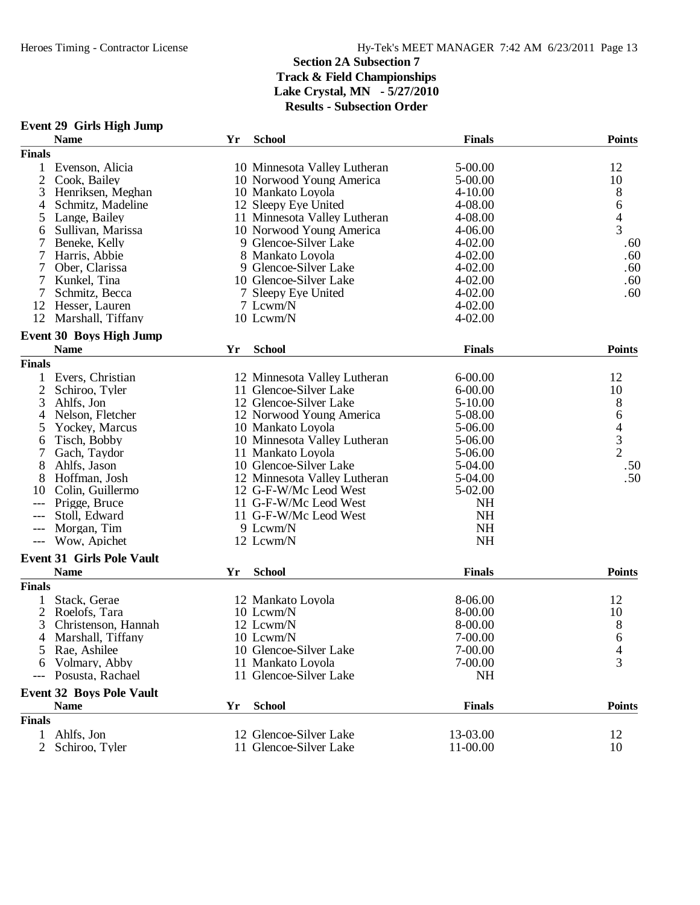|                | <b>Event 29 Girls High Jump</b>                |    |                                             |                      |                                            |
|----------------|------------------------------------------------|----|---------------------------------------------|----------------------|--------------------------------------------|
|                | <b>Name</b>                                    | Yr | <b>School</b>                               | <b>Finals</b>        | <b>Points</b>                              |
| <b>Finals</b>  |                                                |    |                                             |                      |                                            |
| $\mathbf{1}$   | Evenson, Alicia                                |    | 10 Minnesota Valley Lutheran                | $5 - 00.00$          | 12                                         |
| 2              | Cook, Bailey                                   |    | 10 Norwood Young America                    | 5-00.00              | 10                                         |
| 3              | Henriksen, Meghan                              |    | 10 Mankato Loyola                           | $4 - 10.00$          | 8                                          |
| 4              | Schmitz, Madeline                              |    | 12 Sleepy Eye United                        | 4-08.00              | 6                                          |
| 5              | Lange, Bailey                                  |    | 11 Minnesota Valley Lutheran                | 4-08.00              | $rac{4}{3}$                                |
| 6              | Sullivan, Marissa                              |    | 10 Norwood Young America                    | 4-06.00              |                                            |
|                | Beneke, Kelly                                  |    | 9 Glencoe-Silver Lake                       | 4-02.00              | .60                                        |
| 7              | Harris, Abbie                                  |    | 8 Mankato Loyola                            | $4 - 02.00$          | .60                                        |
| 7              | Ober, Clarissa                                 |    | 9 Glencoe-Silver Lake                       | $4 - 02.00$          | .60                                        |
| 7              | Kunkel, Tina                                   |    | 10 Glencoe-Silver Lake                      | 4-02.00              | .60                                        |
| 7              | Schmitz, Becca                                 |    | 7 Sleepy Eye United                         | $4 - 02.00$          | .60                                        |
| 12             | Hesser, Lauren                                 |    | 7 Lcwm/N                                    | $4 - 02.00$          |                                            |
| 12             | Marshall, Tiffany                              |    | 10 Lcwm/N                                   | $4 - 02.00$          |                                            |
|                | Event 30 Boys High Jump                        |    |                                             |                      |                                            |
|                | <b>Name</b>                                    | Yr | <b>School</b>                               | <b>Finals</b>        | <b>Points</b>                              |
| <b>Finals</b>  |                                                |    |                                             |                      |                                            |
| 1              | Evers, Christian                               |    | 12 Minnesota Valley Lutheran                | $6 - 00.00$          | 12                                         |
| $\overline{2}$ | Schiroo, Tyler                                 |    | 11 Glencoe-Silver Lake                      | $6 - 00.00$          | 10                                         |
| 3              | Ahlfs, Jon                                     |    | 12 Glencoe-Silver Lake                      | $5 - 10.00$          | 8                                          |
| 4              | Nelson, Fletcher                               |    | 12 Norwood Young America                    | 5-08.00              | 6                                          |
| 5              | Yockey, Marcus                                 |    | 10 Mankato Loyola                           | 5-06.00              |                                            |
| 6              | Tisch, Bobby                                   |    | 10 Minnesota Valley Lutheran                | 5-06.00              | $\begin{array}{c} 4 \\ 3 \\ 2 \end{array}$ |
|                | Gach, Taydor                                   |    | 11 Mankato Loyola                           | 5-06.00              |                                            |
| 8              | Ahlfs, Jason                                   |    | 10 Glencoe-Silver Lake                      | 5-04.00              | .50                                        |
| 8              | Hoffman, Josh                                  |    | 12 Minnesota Valley Lutheran                | 5-04.00              | .50                                        |
| 10             | Colin, Guillermo                               |    | 12 G-F-W/Mc Leod West                       | 5-02.00              |                                            |
|                | Prigge, Bruce                                  |    | 11 G-F-W/Mc Leod West                       | <b>NH</b>            |                                            |
|                | Stoll, Edward                                  |    | 11 G-F-W/Mc Leod West                       | <b>NH</b>            |                                            |
| $---$          | Morgan, Tim                                    |    | 9 Lcwm/N                                    | <b>NH</b>            |                                            |
| $---$          | Wow, Apichet                                   |    | 12 Lcwm/N                                   | <b>NH</b>            |                                            |
|                | <b>Event 31 Girls Pole Vault</b>               |    |                                             |                      |                                            |
|                | <b>Name</b>                                    | Yr | <b>School</b>                               | <b>Finals</b>        | <b>Points</b>                              |
| <b>Finals</b>  |                                                |    |                                             |                      |                                            |
| 1              | Stack, Gerae                                   |    | 12 Mankato Loyola                           | 8-06.00              | 12                                         |
| 2              | Roelofs, Tara                                  |    | 10 Lcwm/N                                   | 8-00.00              | 10                                         |
| 3              | Christenson, Hannah                            |    | 12 Lcwm/N                                   | 8-00.00              | 8                                          |
|                | Marshall, Tiffany                              |    | 10 Lcwm/N                                   | 7-00.00              |                                            |
| 4              |                                                |    | 10 Glencoe-Silver Lake                      | 7-00.00              | 6                                          |
| 5              | Rae, Ashilee                                   |    |                                             |                      | 4<br>3                                     |
| 6              | Volmary, Abby<br>Posusta, Rachael              |    | 11 Mankato Loyola<br>11 Glencoe-Silver Lake | 7-00.00<br><b>NH</b> |                                            |
|                |                                                |    |                                             |                      |                                            |
|                | <b>Event 32 Boys Pole Vault</b><br><b>Name</b> | Yr | <b>School</b>                               | <b>Finals</b>        | <b>Points</b>                              |
| <b>Finals</b>  |                                                |    |                                             |                      |                                            |
| $\mathbf{1}$   | Ahlfs, Jon                                     |    | 12 Glencoe-Silver Lake                      | 13-03.00             | 12                                         |
| $\overline{2}$ | Schiroo, Tyler                                 |    | 11 Glencoe-Silver Lake                      | 11-00.00             | 10                                         |
|                |                                                |    |                                             |                      |                                            |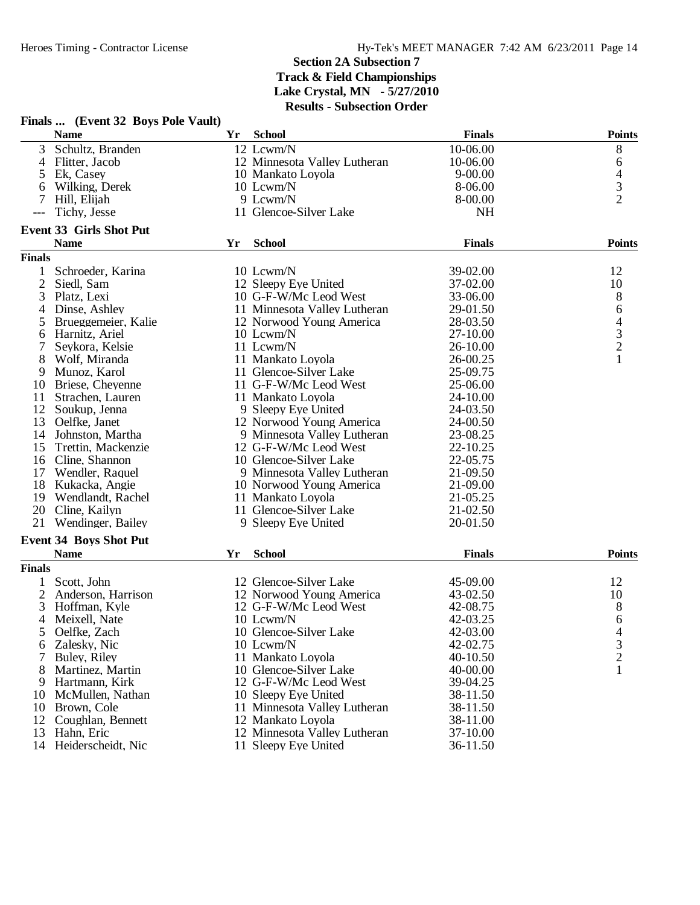|               | Finals  (Event 32 Boys Pole Vault) |    |                              |               |                                            |
|---------------|------------------------------------|----|------------------------------|---------------|--------------------------------------------|
|               | <b>Name</b>                        | Yr | <b>School</b>                | <b>Finals</b> | <b>Points</b>                              |
| 3             | Schultz, Branden                   |    | 12 Lcwm/N                    | 10-06.00      | 8                                          |
|               | 4 Flitter, Jacob                   |    | 12 Minnesota Valley Lutheran | 10-06.00      | 6                                          |
| 5             | Ek, Casey                          |    | 10 Mankato Loyola            | $9 - 00.00$   |                                            |
| 6             | Wilking, Derek                     |    | 10 Lcwm/N                    | 8-06.00       | $\frac{4}{3}$                              |
| 7             | Hill, Elijah                       |    | 9 Lcwm/N                     | 8-00.00       |                                            |
|               | Tichy, Jesse                       |    | 11 Glencoe-Silver Lake       | <b>NH</b>     |                                            |
|               | <b>Event 33 Girls Shot Put</b>     |    |                              |               |                                            |
|               | <b>Name</b>                        | Yr | <b>School</b>                | <b>Finals</b> | <b>Points</b>                              |
| <b>Finals</b> |                                    |    |                              |               |                                            |
| $\mathbf{1}$  | Schroeder, Karina                  |    | 10 Lcwm/N                    | 39-02.00      | 12                                         |
| 2             | Siedl, Sam                         |    | 12 Sleepy Eye United         | 37-02.00      | 10                                         |
| 3             | Platz, Lexi                        |    | 10 G-F-W/Mc Leod West        | 33-06.00      | 8                                          |
| 4             | Dinse, Ashley                      |    | 11 Minnesota Valley Lutheran | 29-01.50      | 6                                          |
| 5             | Brueggemeier, Kalie                |    | 12 Norwood Young America     | 28-03.50      |                                            |
| 6             | Harnitz, Ariel                     |    | 10 Lcwm/N                    | 27-10.00      | $\begin{array}{c} 4 \\ 3 \\ 2 \end{array}$ |
| 7             | Seykora, Kelsie                    |    | 11 Lcwm/N                    | 26-10.00      |                                            |
| 8             | Wolf, Miranda                      |    | 11 Mankato Loyola            | 26-00.25      | $\mathbf{1}$                               |
| 9             | Munoz, Karol                       |    | 11 Glencoe-Silver Lake       | 25-09.75      |                                            |
| 10            | Briese, Cheyenne                   |    | 11 G-F-W/Mc Leod West        | 25-06.00      |                                            |
| 11            | Strachen, Lauren                   |    | 11 Mankato Loyola            | 24-10.00      |                                            |
| 12            | Soukup, Jenna                      |    | 9 Sleepy Eye United          | 24-03.50      |                                            |
| 13            | Oelfke, Janet                      |    | 12 Norwood Young America     | 24-00.50      |                                            |
| 14            | Johnston, Martha                   |    | 9 Minnesota Valley Lutheran  | 23-08.25      |                                            |
| 15            | Trettin, Mackenzie                 |    | 12 G-F-W/Mc Leod West        | 22-10.25      |                                            |
|               | 16 Cline, Shannon                  |    | 10 Glencoe-Silver Lake       | 22-05.75      |                                            |
| 17            | Wendler, Raquel                    |    | 9 Minnesota Valley Lutheran  | 21-09.50      |                                            |
|               | 18 Kukacka, Angie                  |    | 10 Norwood Young America     | 21-09.00      |                                            |
| 19            | Wendlandt, Rachel                  |    | 11 Mankato Loyola            | 21-05.25      |                                            |
|               | 20 Cline, Kailyn                   |    | 11 Glencoe-Silver Lake       | 21-02.50      |                                            |
| 21            | Wendinger, Bailey                  |    | 9 Sleepy Eye United          | 20-01.50      |                                            |
|               | <b>Event 34 Boys Shot Put</b>      |    |                              |               |                                            |
|               | <b>Name</b>                        | Yr | <b>School</b>                | <b>Finals</b> | <b>Points</b>                              |
| <b>Finals</b> |                                    |    |                              |               |                                            |
|               | 1 Scott, John                      |    | 12 Glencoe-Silver Lake       | 45-09.00      | 12                                         |
| 2             | Anderson, Harrison                 |    | 12 Norwood Young America     | 43-02.50      | 10                                         |
| 3             | Hoffman, Kyle                      |    | 12 G-F-W/Mc Leod West        | 42-08.75      | 8                                          |
| 4             | Meixell, Nate                      |    | 10 Lewm/N                    | 42-03.25      | 6                                          |
|               | Oelfke, Zach                       |    | 10 Glencoe-Silver Lake       | 42-03.00      | 4                                          |
| 6             | Zalesky, Nic                       |    | 10 Lcwm/N                    | 42-02.75      | 3                                          |
|               | Buley, Riley                       |    | 11 Mankato Loyola            | 40-10.50      | $\overline{c}$                             |
| 8             | Martinez, Martin                   |    | 10 Glencoe-Silver Lake       | 40-00.00      | 1                                          |
| 9             | Hartmann, Kirk                     |    | 12 G-F-W/Mc Leod West        | 39-04.25      |                                            |
|               | 10 McMullen, Nathan                |    | 10 Sleepy Eye United         | 38-11.50      |                                            |
|               | 10 Brown, Cole                     |    | 11 Minnesota Valley Lutheran | 38-11.50      |                                            |
|               | 12 Coughlan, Bennett               |    | 12 Mankato Loyola            | 38-11.00      |                                            |
| 13            | Hahn, Eric                         |    | 12 Minnesota Valley Lutheran | 37-10.00      |                                            |
|               | 14 Heiderscheidt, Nic              |    | 11 Sleepy Eye United         | 36-11.50      |                                            |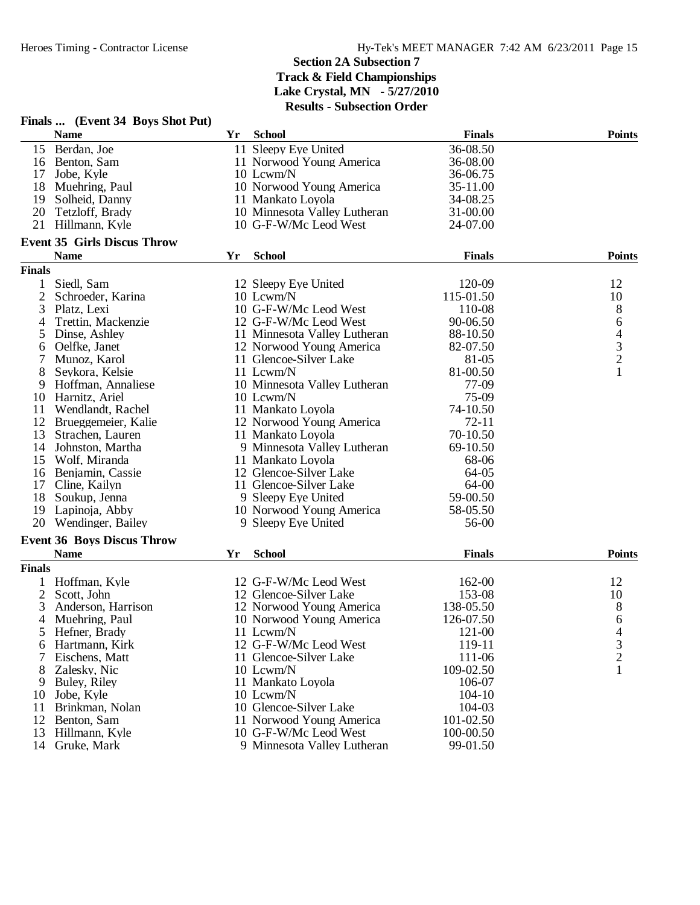|                |                                                 |    | Results - Subsection Order   |               |               |
|----------------|-------------------------------------------------|----|------------------------------|---------------|---------------|
|                | Finals  (Event 34 Boys Shot Put)<br><b>Name</b> | Yr | <b>School</b>                | <b>Finals</b> | <b>Points</b> |
|                | 15 Berdan, Joe                                  |    | 11 Sleepy Eye United         | 36-08.50      |               |
| 16             | Benton, Sam                                     |    | 11 Norwood Young America     | 36-08.00      |               |
| 17             | Jobe, Kyle                                      |    | 10 Lcwm/N                    | 36-06.75      |               |
|                | 18 Muehring, Paul                               |    | 10 Norwood Young America     | 35-11.00      |               |
| 19             | Solheid, Danny                                  |    | 11 Mankato Loyola            | 34-08.25      |               |
| 20             | Tetzloff, Brady                                 |    | 10 Minnesota Valley Lutheran | 31-00.00      |               |
| 21             | Hillmann, Kyle                                  |    | 10 G-F-W/Mc Leod West        | 24-07.00      |               |
|                | <b>Event 35 Girls Discus Throw</b>              |    |                              |               |               |
|                | <b>Name</b>                                     | Yr | <b>School</b>                | <b>Finals</b> | <b>Points</b> |
| <b>Finals</b>  |                                                 |    |                              |               |               |
| 1              | Siedl, Sam                                      |    | 12 Sleepy Eye United         | 120-09        | 12            |
| $\overline{2}$ | Schroeder, Karina                               |    | 10 Lcwm/N                    | 115-01.50     | 10            |
| 3              | Platz, Lexi                                     |    | 10 G-F-W/Mc Leod West        | 110-08        | 8             |
| 4              | Trettin, Mackenzie                              |    | 12 G-F-W/Mc Leod West        | 90-06.50      | 6             |
| 5              | Dinse, Ashley                                   |    | 11 Minnesota Valley Lutheran | 88-10.50      |               |
| 6              | Oelfke, Janet                                   |    | 12 Norwood Young America     | 82-07.50      |               |
| 7              | Munoz, Karol                                    |    | 11 Glencoe-Silver Lake       | 81-05         | $\frac{4}{3}$ |
| 8              | Seykora, Kelsie                                 |    | 11 Lcwm/N                    | 81-00.50      | $\mathbf{1}$  |
| 9              | Hoffman, Annaliese                              |    | 10 Minnesota Valley Lutheran | 77-09         |               |
| 10             | Harnitz, Ariel                                  |    | 10 Lcwm/N                    | 75-09         |               |
| 11             | Wendlandt, Rachel                               |    | 11 Mankato Loyola            | 74-10.50      |               |
| 12             | Brueggemeier, Kalie                             |    | 12 Norwood Young America     | $72 - 11$     |               |
| 13             | Strachen, Lauren                                |    | 11 Mankato Loyola            | 70-10.50      |               |
| 14             | Johnston, Martha                                |    | 9 Minnesota Valley Lutheran  | 69-10.50      |               |
| 15             | Wolf, Miranda                                   |    | 11 Mankato Loyola            | 68-06         |               |
| 16             | Benjamin, Cassie                                |    | 12 Glencoe-Silver Lake       | 64-05         |               |
| 17             | Cline, Kailyn                                   |    | 11 Glencoe-Silver Lake       | 64-00         |               |
| 18             | Soukup, Jenna                                   |    | 9 Sleepy Eye United          | 59-00.50      |               |
| 19             | Lapinoja, Abby                                  |    | 10 Norwood Young America     | 58-05.50      |               |
| 20             | Wendinger, Bailey                               |    | 9 Sleepy Eye United          | 56-00         |               |
|                | <b>Event 36 Boys Discus Throw</b>               |    |                              |               |               |
|                | <b>Name</b>                                     | Yr | <b>School</b>                | <b>Finals</b> | <b>Points</b> |
| <b>Finals</b>  |                                                 |    |                              |               |               |
|                | Hoffman, Kyle                                   |    | 12 G-F-W/Mc Leod West        | 162-00        | 12            |
| 2              | Scott, John                                     |    | 12 Glencoe-Silver Lake       | 153-08        | 10            |
| 3              | Anderson, Harrison                              |    | 12 Norwood Young America     | 138-05.50     | 8             |
| $\overline{4}$ | Muehring, Paul                                  |    | 10 Norwood Young America     | 126-07.50     | 6             |
| 5              | Hefner, Brady                                   |    | 11 Lcwm/N                    | 121-00        | 4             |
|                | 6 Hartmann, Kirk                                |    | 12 G-F-W/Mc Leod West        | 119-11        | $\frac{3}{2}$ |
|                | Eischens, Matt                                  |    | 11 Glencoe-Silver Lake       | 111-06        |               |
| 8              | Zalesky, Nic                                    |    | 10 Lcwm/N                    | 109-02.50     | $\mathbf{1}$  |
| 9              | Buley, Riley                                    |    | 11 Mankato Loyola            | 106-07        |               |
| 10             | Jobe, Kyle                                      |    | 10 Lcwm/N                    | 104-10        |               |
| 11             | Brinkman, Nolan                                 |    | 10 Glencoe-Silver Lake       | 104-03        |               |
| 12             | Benton, Sam                                     |    | 11 Norwood Young America     | 101-02.50     |               |
| 13             | Hillmann, Kyle                                  |    | 10 G-F-W/Mc Leod West        | 100-00.50     |               |
| 14             | Gruke, Mark                                     |    | 9 Minnesota Valley Lutheran  | 99-01.50      |               |